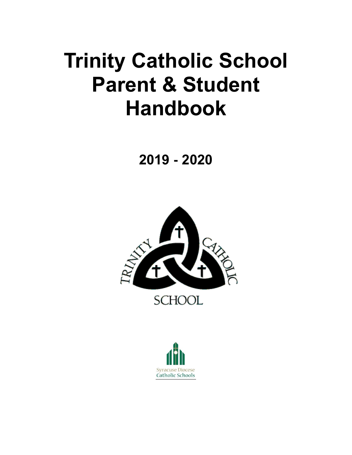# **Trinity Catholic School Parent & Student Handbook**

**2019 - 2020**



**SCHOOL** 

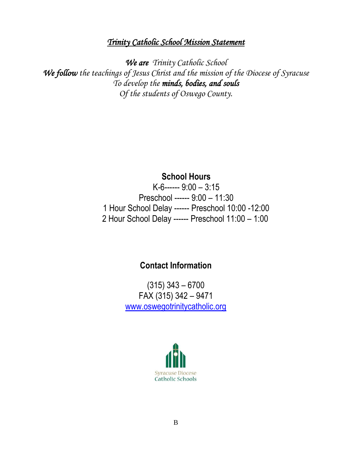## *Trinity Catholic School Mission Statement*

*We are Trinity Catholic School We follow the teachings of Jesus Christ and the mission of the Diocese of Syracuse To develop the minds, bodies, and souls Of the students of Oswego County.*

## **School Hours**

K-6------ 9:00 – 3:15 Preschool ------ 9:00 – 11:30 1 Hour School Delay ------ Preschool 10:00 -12:00 2 Hour School Delay ------ Preschool 11:00 – 1:00

## **Contact Information**

(315) 343 – 6700 FAX (315) 342 – 9471 [www.oswegotrinitycatholic.org](http://www.oswegotrinitycatholic.org/)

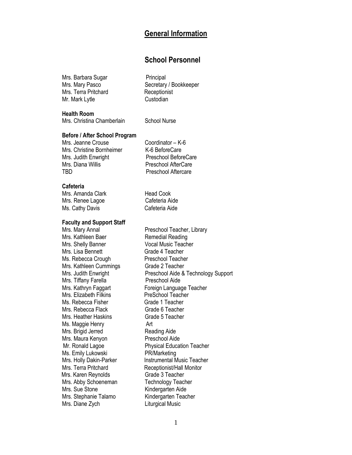## **General Information**

## **School Personnel**

Mrs. Barbara Sugar **Principal** Mrs. Terra Pritchard Receptionist Mr. Mark Lytle Custodian

Mrs. Mary Pasco Secretary / Bookkeeper

**Health Room**

Mrs. Christina Chamberlain School Nurse

## **Before / After School Program**

Mrs. Jeanne Crouse Coordinator – K-6 Mrs. Christine Bornheimer K-6 BeforeCare Mrs. Judith Enwright Preschool BeforeCare Mrs. Diana Willis **Preschool AfterCare** TBD **Preschool Aftercare** 

**Cafeteria**

Mrs. Amanda Clark Head Cook Mrs. Renee Lagoe Cafeteria Aide Ms. Cathy Davis Cafeteria Aide

## **Faculty and Support Staff**

Mrs. Shelly Banner Vocal Music Teacher Mrs. Lisa Bennett Grade 4 Teacher Ms. Rebecca Crough Preschool Teacher Mrs. Kathleen Cummings Grade 2 Teacher Mrs. Tiffany Farella Preschool Aide Mrs. Elizabeth Filkins PreSchool Teacher Ms. Rebecca Fisher Grade 1 Teacher Mrs. Rebecca Flack Grade 6 Teacher<br>Mrs. Heather Haskins Grade 5 Teacher Mrs. Heather Haskins Ms. Maggie Henry **Art** Mrs. Brigid Jerred Reading Aide Mrs. Maura Kenyon Preschool Aide Ms. Emily Lukowski **PR/Marketing**<br>Mrs. Holly Dakin-Parker **Night Contains** Instrumental M Mrs. Terra Pritchard **Receptionist/Hall Monitor** Mrs. Karen Reynolds Grade 3 Teacher Mrs. Abby Schoeneman Technology Teacher Mrs. Sue Stone Kindergarten Aide Mrs. Stephanie Talamo Kindergarten Teacher Mrs. Diane Zych Liturgical Music

Mrs. Mary Annal **Nary Annal Communist Preschool Teacher**, Library Mrs. Kathleen Baer<br>
Mrs. Kathleen Baer **Nary Remedial Reading** Remedial Reading Mrs. Judith Enwright **Preschool Aide & Technology Support** Mrs. Kathryn Faggart Foreign Language Teacher Mr. Ronald Lagoe Physical Education Teacher Instrumental Music Teacher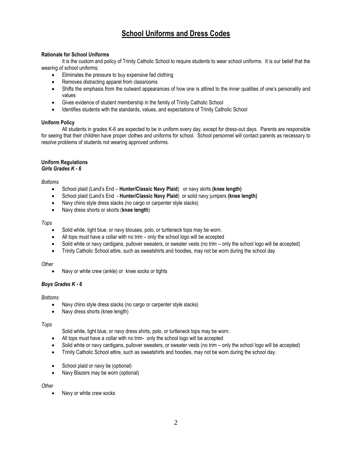## **School Uniforms and Dress Codes**

## **Rationale for School Uniforms**

It is the custom and policy of Trinity Catholic School to require students to wear school uniforms. It is our belief that the wearing of school uniforms:

- **Eliminates the pressure to buy expensive fad clothing**
- Removes distracting apparel from classrooms
- Shifts the emphasis from the outward appearances of how one is attired to the inner qualities of one's personality and values
- Gives evidence of student membership in the family of Trinity Catholic School
- Identifies students with the standards, values, and expectations of Trinity Catholic School

## **Uniform Policy**

All students in grades K-6 are expected to be in uniform every day, except for dress-out days. Parents are responsible for seeing that their children have proper clothes and uniforms for school. School personnel will contact parents as necessary to resolve problems of students not wearing approved uniforms.

#### **Uniform Regulations** *Girls Grades K - 6*

#### *Bottoms*

- School plaid (Land's End **Hunter/Classic Navy Plaid**) or navy skirts **(knee length)**
- School plaid (Land's End **Hunter/Classic Navy Plaid**)or solid navy jumpers **(knee length)**
- Navy chino style dress slacks (no cargo or carpenter style slacks)
- Navy dress shorts or skorts (**knee length**)

#### *Tops*

- Solid white, light blue, or navy blouses, polo, or turtleneck tops may be worn.
- All tops must have a collar with no trim only the school logo will be accepted
- Solid white or navy cardigans, pullover sweaters, or sweater vests (no trim only the school logo will be accepted)
- Trinity Catholic School attire, such as sweatshirts and hoodies, may not be worn during the school day.

## *Other*

Navy or white crew (ankle) or knee socks or tights

## *Boys Grades K - 6*

## *Bottoms*

- Navy chino style dress slacks (no cargo or carpenter style slacks)
- Navy dress shorts (knee length)

#### *Tops*

- Solid white, light blue, or navy dress shirts, polo, or turtleneck tops may be worn.
- All tops must have a collar with no trim- only the school logo will be accepted
- Solid white or navy cardigans, pullover sweaters, or sweater vests (no trim only the school logo will be accepted)
- Trinity Catholic School attire, such as sweatshirts and hoodies, may not be worn during the school day.
- School plaid or navy tie (optional)
- Navy Blazers may be worn (optional)

## *Other*

Navy or white crew socks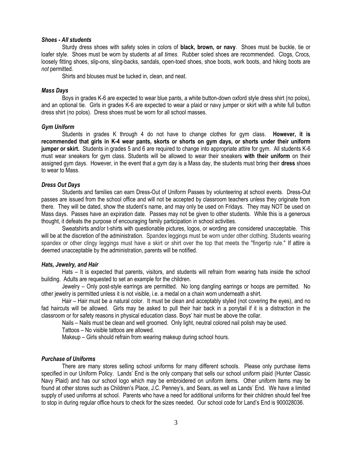#### *Shoes - All students*

Sturdy dress shoes with safety soles in colors of **black, brown, or navy**. Shoes must be buckle, tie or loafer style. Shoes must be worn by students *at all times*. Rubber soled shoes are recommended. Clogs, Crocs, loosely fitting shoes, slip-ons, sling-backs, sandals, open-toed shoes, shoe boots, work boots, and hiking boots are *not* permitted.

Shirts and blouses must be tucked in, clean, and neat.

#### *Mass Days*

Boys in grades K-6 are expected to wear blue pants, a white button-down oxford style dress shirt (no polos), and an optional tie. Girls in grades K-6 are expected to wear a plaid or navy jumper or skirt with a white full button dress shirt (no polos). Dress shoes must be worn for all school masses.

## *Gym Uniform*

Students in grades K through 4 do not have to change clothes for gym class. **However, it is recommended that girls in K-4 wear pants, skorts or shorts on gym days, or shorts under their uniform jumper or skirt.** Students in grades 5 and 6 are required to change into appropriate attire for gym. All students K-6 must wear sneakers for gym class. Students will be allowed to wear their sneakers **with their uniform** on their assigned gym days. However, in the event that a gym day is a Mass day, the students must bring their **dress** shoes to wear to Mass.

## *Dress Out Days*

Students and families can earn Dress-Out of Uniform Passes by volunteering at school events. Dress-Out passes are issued from the school office and will not be accepted by classroom teachers unless they originate from there. They will be dated, show the student's name, and may only be used on Fridays. They may NOT be used on Mass days. Passes have an expiration date. Passes may not be given to other students. While this is a generous thought, it defeats the purpose of encouraging family participation in school activities.

Sweatshirts and/or t-shirts with questionable pictures, logos, or wording are considered unacceptable. This will be at the discretion of the administration. Spandex leggings must be worn under other clothing. Students wearing spandex or other clingy leggings must have a skirt or shirt over the top that meets the "fingertip rule." If attire is deemed unacceptable by the administration, parents will be notified.

#### *Hats, Jewelry, and Hair*

Hats – It is expected that parents, visitors, and students will refrain from wearing hats inside the school building. Adults are requested to set an example for the children.

Jewelry – Only post-style earrings are permitted. No long dangling earrings or hoops are permitted. No other jewelry is permitted unless it is not visible, i.e. a medal on a chain worn underneath a shirt.

Hair – Hair must be a natural color. It must be clean and acceptably styled (not covering the eyes), and no fad haircuts will be allowed. Girls may be asked to pull their hair back in a ponytail if it is a distraction in the classroom or for safety reasons in physical education class. Boys' hair must be above the collar.

Nails – Nails must be clean and well groomed. Only light, neutral colored nail polish may be used.

Tattoos – No visible tattoos are allowed.

Makeup – Girls should refrain from wearing makeup during school hours.

## *Purchase of Uniforms*

There are many stores selling school uniforms for many different schools. Please only purchase items specified in our Uniform Policy. Lands' End is the only company that sells our school uniform plaid (Hunter Classic Navy Plaid) and has our school logo which may be embroidered on uniform items. Other uniform items may be found at other stores such as Children's Place, J.C. Penney's, and Sears, as well as Lands' End. We have a limited supply of used uniforms at school. Parents who have a need for additional uniforms for their children should feel free to stop in during regular office hours to check for the sizes needed. Our school code for Land's End is 900028036.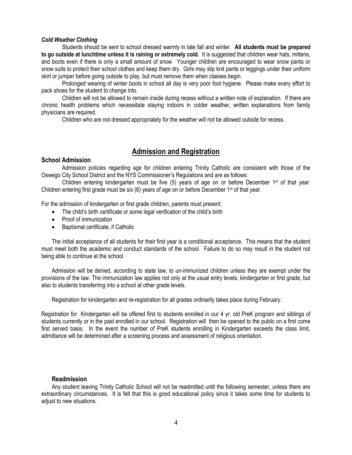## *Cold Weather Clothing*

Students should be sent to school dressed warmly in late fall and winter. **All students must be prepared to go outside at lunchtime unless it is raining or extremely cold.** It is suggested that children wear hats, mittens, and boots even if there is only a small amount of snow. Younger children are encouraged to wear snow pants or snow suits to protect their school clothes and keep them dry. Girls may slip knit pants or leggings under their uniform skirt or jumper before going outside to play, but must remove them when classes begin.

Prolonged wearing of winter boots in school all day is very poor foot hygiene. Please make every effort to pack shoes for the student to change into.

Children will not be allowed to remain inside during recess without a written note of explanation. If there are chronic health problems which necessitate staying indoors in colder weather, written explanations from family physicians are required.

Children who are not dressed appropriately for the weather will not be allowed outside for recess.

## **Admission and Registration**

## **School Admission**

Admission policies regarding age for children entering Trinity Catholic are consistent with those of the Oswego City School District and the NYS Commissioner's Regulations and are as follows:

Children entering kindergarten must be five  $(5)$  years of age on or before December 1<sup>st</sup> of that year. Children entering first grade must be six (6) years of age on or before December 1st of that year.

For the admission of kindergarten or first grade children, parents must present:

- The child's birth certificate or some legal verification of the child's birth
- Proof of immunization
- Baptismal certificate, if Catholic

The initial acceptance of all students for their first year is a conditional acceptance. This means that the student must meet both the academic and conduct standards of the school. Failure to do so may result in the student not being able to continue at the school.

Admission will be denied, according to state law, to un-immunized children unless they are exempt under the provisions of the law. The immunization law applies not only at the usual entry levels, kindergarten or first grade, but also to students transferring into a school at other grade levels.

Registration for kindergarten and re-registration for all grades ordinarily takes place during February.

Registration for Kindergarten will be offered first to students enrolled in our 4 yr. old PreK program and siblings of students currently or in the past enrolled in our school. Registration will then be opened to the public on a first come first served basis. In the event the number of PreK students enrolling in Kindergarten exceeds the class limit, admittance will be determined after a screening process and assessment of religious orientation.

## **Readmission**

Any student leaving Trinity Catholic School will not be readmitted until the following semester, unless there are extraordinary circumstances. It is felt that this is good educational policy since it takes some time for students to adjust to new situations.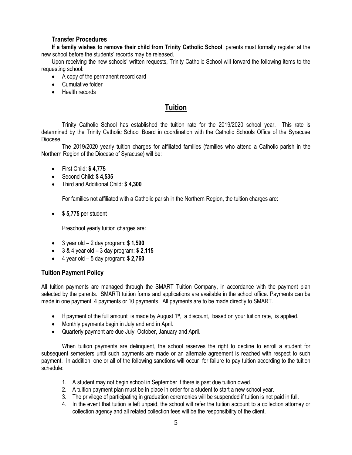## **Transfer Procedures**

**If a family wishes to remove their child from Trinity Catholic School**, parents must formally register at the new school before the students' records may be released.

Upon receiving the new schools' written requests, Trinity Catholic School will forward the following items to the requesting school:

- A copy of the permanent record card
- Cumulative folder
- Health records

## **Tuition**

Trinity Catholic School has established the tuition rate for the 2019/2020 school year. This rate is determined by the Trinity Catholic School Board in coordination with the Catholic Schools Office of the Syracuse Diocese.

The 2019/2020 yearly tuition charges for affiliated families (families who attend a Catholic parish in the Northern Region of the Diocese of Syracuse) will be:

- First Child: **\$ 4,775**
- Second Child: **\$ 4,535**
- Third and Additional Child: **\$ 4,300**

For families not affiliated with a Catholic parish in the Northern Region, the tuition charges are:

**\$ 5,775** per student

Preschool yearly tuition charges are:

- 3 year old 2 day program: **\$ 1,590**
- 3 & 4 year old 3 day program: **\$ 2,115**
- 4 year old 5 day program: **\$ 2,760**

## **Tuition Payment Policy**

All tuition payments are managed through the SMART Tuition Company, in accordance with the payment plan selected by the parents. SMARTt tuition forms and applications are available in the school office. Payments can be made in one payment, 4 payments or 10 payments. All payments are to be made directly to SMART.

- If payment of the full amount is made by August  $1<sup>st</sup>$ , a discount, based on your tuition rate, is applied.
- Monthly payments begin in July and end in April.
- Quarterly payment are due July, October, January and April.

When tuition payments are delinguent, the school reserves the right to decline to enroll a student for subsequent semesters until such payments are made or an alternate agreement is reached with respect to such payment. In addition, one or all of the following sanctions will occur for failure to pay tuition according to the tuition schedule:

- 1. A student may not begin school in September if there is past due tuition owed.
- 2. A tuition payment plan must be in place in order for a student to start a new school year.
- 3. The privilege of participating in graduation ceremonies will be suspended if tuition is not paid in full.
- 4. In the event that tuition is left unpaid, the school will refer the tuition account to a collection attorney or collection agency and all related collection fees will be the responsibility of the client.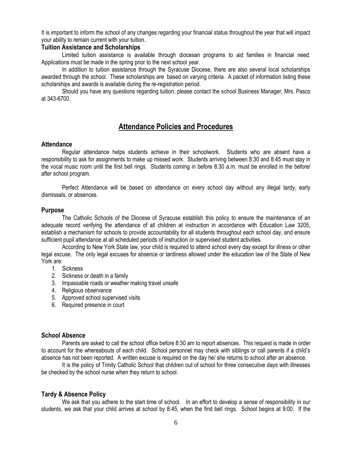It is important to inform the school of any changes regarding your financial status throughout the year that will impact your ability to remain current with your tuition.

## **Tuition Assistance and Scholarships**

Limited tuition assistance is available through diocesan programs to aid families in financial need. Applications must be made in the spring prior to the next school year.

In addition to tuition assistance through the Syracuse Diocese, there are also several local scholarships awarded through the school. These scholarships are based on varying criteria. A packet of information listing these scholarships and awards is available during the re-registration period.

Should you have any questions regarding tuition, please contact the school Business Manager, Mrs. Pasco at 343-6700.

## **Attendance Policies and Procedures**

## **Attendance**

Regular attendance helps students achieve in their schoolwork. Students who are absent have a responsibility to ask for assignments to make up missed work. Students arriving between 8:30 and 8:45 must stay in the vocal music room until the first bell rings. Students coming in before 8:30 a.m. must be enrolled in the before/ after school program.

Perfect Attendance will be based on attendance on every school day without any illegal tardy, early dismissals, or absences.

## **Purpose**

The Catholic Schools of the Diocese of Syracuse establish this policy to ensure the maintenance of an adequate record verifying the attendance of all children at instruction in accordance with Education Law 3205, establish a mechanism for schools to provide accountability for all students throughout each school day, and ensure sufficient pupil attendance at all scheduled periods of instruction or supervised student activities.

According to New York State law, your child is required to attend school every day except for illness or other legal excuse. The only legal excuses for absence or tardiness allowed under the education law of the State of New York are:

- 1. Sickness
- 2. Sickness or death in a family
- 3. Impassable roads or weather making travel unsafe
- 4. Religious observance
- 5. Approved school supervised visits
- 6. Required presence in court

## **School Absence**

Parents are asked to call the school office before 8:30 am to report absences. This request is made in order to account for the whereabouts of each child. School personnel may check with siblings or call parents if a child's absence has not been reported. A written excuse is required on the day he/ she returns to school after an absence.

It is the policy of Trinity Catholic School that children out of school for three consecutive days with illnesses be checked by the school nurse when they return to school.

## **Tardy & Absence Policy**

We ask that you adhere to the start time of school. In an effort to develop a sense of responsibility in our students, we ask that your child arrives at school by 8:45, when the first bell rings. School begins at 9:00. If the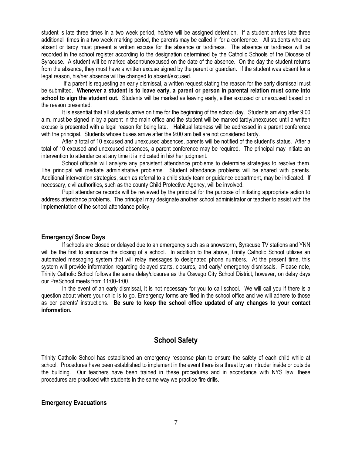student is late three times in a two week period, he/she will be assigned detention.If a student arrives late three additional times in a two week marking period, the parents may be called in for a conference. All students who are absent or tardy must present a written excuse for the absence or tardiness. The absence or tardiness will be recorded in the school register according to the designation determined by the Catholic Schools of the Diocese of Syracuse. A student will be marked absent/unexcused on the date of the absence. On the day the student returns from the absence, they must have a written excuse signed by the parent or guardian. If the student was absent for a legal reason, his/her absence will be changed to absent/excused.

If a parent is requesting an early dismissal, a written request stating the reason for the early dismissal must be submitted. **Whenever a student is to leave early, a parent or person in parental relation must come into**  school to sign the student out. Students will be marked as leaving early, either excused or unexcused based on the reason presented.

It is essential that all students arrive on time for the beginning of the school day. Students arriving after 9:00 a.m. must be signed in by a parent in the main office and the student will be marked tardy/unexcused until a written excuse is presented with a legal reason for being late. Habitual lateness will be addressed in a parent conference with the principal. Students whose buses arrive after the 9:00 am bell are not considered tardy.

After a total of 10 excused and unexcused absences, parents will be notified of the student's status. After a total of 10 excused and unexcused absences, a parent conference may be required. The principal may initiate an intervention to attendance at any time it is indicated in his/ her judgment.

School officials will analyze any persistent attendance problems to determine strategies to resolve them. The principal will mediate administrative problems. Student attendance problems will be shared with parents. Additional intervention strategies, such as referral to a child study team or guidance department, may be indicated. If necessary, civil authorities, such as the county Child Protective Agency, will be involved.

Pupil attendance records will be reviewed by the principal for the purpose of initiating appropriate action to address attendance problems. The principal may designate another school administrator or teacher to assist with the implementation of the school attendance policy.

## **Emergency/ Snow Days**

If schools are closed or delayed due to an emergency such as a snowstorm, Syracuse TV stations and YNN will be the first to announce the closing of a school. In addition to the above, Trinity Catholic School utilizes an automated messaging system that will relay messages to designated phone numbers. At the present time, this system will provide information regarding delayed starts, closures, and early/ emergency dismissals. Please note, Trinity Catholic School follows the same delay/closures as the Oswego City School District, however, on delay days our PreSchool meets from 11:00-1:00.

In the event of an early dismissal, it is not necessary for you to call school. We will call you if there is a question about where your child is to go. Emergency forms are filed in the school office and we will adhere to those as per parents' instructions. **Be sure to keep the school office updated of any changes to your contact information.**

## **School Safety**

Trinity Catholic School has established an emergency response plan to ensure the safety of each child while at school. Procedures have been established to implement in the event there is a threat by an intruder inside or outside the building. Our teachers have been trained in these procedures and in accordance with NYS law, these procedures are practiced with students in the same way we practice fire drills.

## **Emergency Evacuations**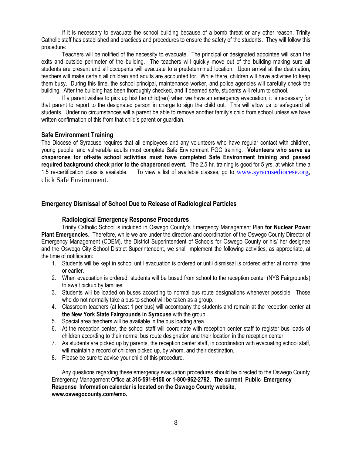If it is necessary to evacuate the school building because of a bomb threat or any other reason, Trinity Catholic staff has established and practices and procedures to ensure the safety of the students. They will follow this procedure:

Teachers will be notified of the necessity to evacuate. The principal or designated appointee will scan the exits and outside perimeter of the building. The teachers will quickly move out of the building making sure all students are present and all occupants will evacuate to a predetermined location. Upon arrival at the destination, teachers will make certain all children and adults are accounted for. While there, children will have activities to keep them busy. During this time, the school principal, maintenance worker, and police agencies will carefully check the building. After the building has been thoroughly checked, and if deemed safe, students will return to school.

If a parent wishes to pick up his/ her child(ren) when we have an emergency evacuation, it is necessary for that parent to report to the designated person in charge to sign the child out. This will allow us to safeguard all students. Under no circumstances will a parent be able to remove another family's child from school unless we have written confirmation of this from that child's parent or guardian.

## **Safe Environment Training**

The Diocese of Syracuse requires that all employees and any volunteers who have regular contact with children, young people, and vulnerable adults must complete Safe Environment PGC training. **Volunteers who serve as chaperones for off-site school activities must have completed Safe Environment training and passed required background check prior to the chaperoned event.** The 2.5 hr. training is good for 5 yrs. at which time a 1.5 re-certification class is available. To view a list of available classes, go to [www.syracusediocese.org,](http://www.syracusediocese.org/) click Safe Environment.

## **Emergency Dismissal of School Due to Release of Radiological Particles**

## **Radiological Emergency Response Procedures**

Trinity Catholic School is included in Oswego County's Emergency Management Plan **for Nuclear Power Plant Emergencies**. Therefore, while we are under the direction and coordination of the Oswego County Director of Emergency Management (CDEM), the District Superintendent of Schools for Oswego County or his/ her designee and the Oswego City School District Superintendent, we shall implement the following activities, as appropriate, at the time of notification:

- 1. Students will be kept in school until evacuation is ordered or until dismissal is ordered either at normal time or earlier.
- 2. When evacuation is ordered, students will be bused from school to the reception center (NYS Fairgrounds) to await pickup by families.
- 3. Students will be loaded on buses according to normal bus route designations whenever possible. Those who do not normally take a bus to school will be taken as a group.
- 4. Classroom teachers (at least 1 per bus) will accompany the students and remain at the reception center **at the New York State Fairgrounds in Syracuse** with the group.
- 5. Special area teachers will be available in the bus loading area.
- 6. At the reception center, the school staff will coordinate with reception center staff to register bus loads of children according to their normal bus route designation and their location in the reception center.
- 7. As students are picked up by parents, the reception center staff, in coordination with evacuating school staff, will maintain a record of children picked up, by whom, and their destination.
- 8. Please be sure to advise your child of this procedure.

Any questions regarding these emergency evacuation procedures should be directed to the Oswego County Emergency Management Office **at 315-591-9150 or 1-800-962-2792. The current Public Emergency Response Information calendar is located on the Oswego County website, www.oswegocounty.com/emo.**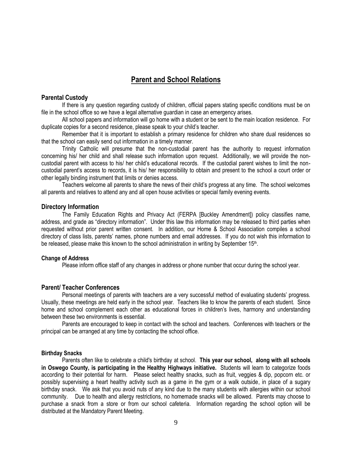## **Parent and School Relations**

## **Parental Custody**

If there is any question regarding custody of children, official papers stating specific conditions must be on file in the school office so we have a legal alternative guardian in case an emergency arises.

All school papers and information will go home with a student or be sent to the main location residence. For duplicate copies for a second residence, please speak to your child's teacher.

Remember that it is important to establish a primary residence for children who share dual residences so that the school can easily send out information in a timely manner.

Trinity Catholic will presume that the non-custodial parent has the authority to request information concerning his/ her child and shall release such information upon request. Additionally, we will provide the noncustodial parent with access to his/ her child's educational records. If the custodial parent wishes to limit the noncustodial parent's access to records, it is his/ her responsibility to obtain and present to the school a court order or other legally binding instrument that limits or denies access.

Teachers welcome all parents to share the news of their child's progress at any time. The school welcomes all parents and relatives to attend any and all open house activities or special family evening events.

## **Directory Information**

The Family Education Rights and Privacy Act (FERPA [Buckley Amendment]) policy classifies name, address, and grade as "directory information". Under this law this information may be released to third parties when requested without prior parent written consent. In addition, our Home & School Association compiles a school directory of class lists, parents' names, phone numbers and email addresses. If you do not wish this information to be released, please make this known to the school administration in writing by September 15<sup>th</sup>.

## **Change of Address**

Please inform office staff of any changes in address or phone number that occur during the school year.

## **Parent/ Teacher Conferences**

Personal meetings of parents with teachers are a very successful method of evaluating students' progress. Usually, these meetings are held early in the school year. Teachers like to know the parents of each student. Since home and school complement each other as educational forces in children's lives, harmony and understanding between these two environments is essential.

Parents are encouraged to keep in contact with the school and teachers. Conferences with teachers or the principal can be arranged at any time by contacting the school office.

## **Birthday Snacks**

Parents often like to celebrate a child's birthday at school. **This year our school, along with all schools in Oswego County, is participating in the Healthy Highways initiative.** Students will learn to categorize foods according to their potential for harm. Please select healthy snacks, such as fruit, veggies & dip, popcorn etc. or possibly supervising a heart healthy activity such as a game in the gym or a walk outside, in place of a sugary birthday snack. We ask that you avoid nuts of any kind due to the many students with allergies within our school community. Due to health and allergy restrictions, no homemade snacks will be allowed. Parents may choose to purchase a snack from a store or from our school cafeteria. Information regarding the school option will be distributed at the Mandatory Parent Meeting.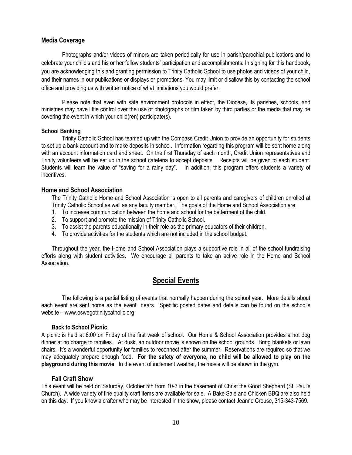## **Media Coverage**

Photographs and/or videos of minors are taken periodically for use in parish/parochial publications and to celebrate your child's and his or her fellow students' participation and accomplishments. In signing for this handbook, you are acknowledging this and granting permission to Trinity Catholic School to use photos and videos of your child, and their names in our publications or displays or promotions. You may limit or disallow this by contacting the school office and providing us with written notice of what limitations you would prefer.

Please note that even with safe environment protocols in effect, the Diocese, its parishes, schools, and ministries may have little control over the use of photographs or film taken by third parties or the media that may be covering the event in which your child(ren) participate(s).

## **School Banking**

Trinity Catholic School has teamed up with the Compass Credit Union to provide an opportunity for students to set up a bank account and to make deposits in school. Information regarding this program will be sent home along with an account information card and sheet. On the first Thursday of each month, Credit Union representatives and Trinity volunteers will be set up in the school cafeteria to accept deposits. Receipts will be given to each student. Students will learn the value of "saving for a rainy day". In addition, this program offers students a variety of incentives.

## **Home and School Association**

The Trinity Catholic Home and School Association is open to all parents and caregivers of children enrolled at Trinity Catholic School as well as any faculty member. The goals of the Home and School Association are:

- 1. To increase communication between the home and school for the betterment of the child.
- 2. To support and promote the mission of Trinity Catholic School.
- 3. To assist the parents educationally in their role as the primary educators of their children.
- 4. To provide activities for the students which are not included in the school budget.

Throughout the year, the Home and School Association plays a supportive role in all of the school fundraising efforts along with student activities. We encourage all parents to take an active role in the Home and School Association.

## **Special Events**

The following is a partial listing of events that normally happen during the school year. More details about each event are sent home as the event nears. Specific posted dates and details can be found on the school's website – www.oswegotrinitycatholic.org

## **Back to School Picnic**

A picnic is held at 6:00 on Friday of the first week of school. Our Home & School Association provides a hot dog dinner at no charge to families. At dusk, an outdoor movie is shown on the school grounds. Bring blankets or lawn chairs. It's a wonderful opportunity for families to reconnect after the summer. Reservations are required so that we may adequately prepare enough food. **For the safety of everyone, no child will be allowed to play on the playground during this movie**. In the event of inclement weather, the movie will be shown in the gym.

## **Fall Craft Show**

This event will be held on Saturday, October 5th from 10-3 in the basement of Christ the Good Shepherd (St. Paul's Church). A wide variety of fine quality craft items are available for sale. A Bake Sale and Chicken BBQ are also held on this day. If you know a crafter who may be interested in the show, please contact Jeanne Crouse, 315-343-7569.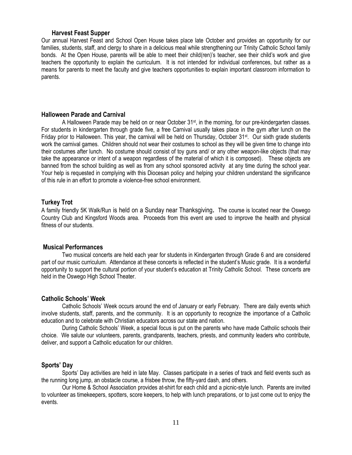## **Harvest Feast Supper**

Our annual Harvest Feast and School Open House takes place late October and provides an opportunity for our families, students, staff, and clergy to share in a delicious meal while strengthening our Trinity Catholic School family bonds. At the Open House, parents will be able to meet their child(ren)'s teacher, see their child's work and give teachers the opportunity to explain the curriculum. It is not intended for individual conferences, but rather as a means for parents to meet the faculty and give teachers opportunities to explain important classroom information to parents.

## **Halloween Parade and Carnival**

A Halloween Parade may be held on or near October 31<sup>st</sup>, in the morning, for our pre-kindergarten classes. For students in kindergarten through grade five, a free Carnival usually takes place in the gym after lunch on the Friday prior to Halloween. This year, the carnival will be held on Thursday, October 31<sup>st</sup>. Our sixth grade students work the carnival games. Children should not wear their costumes to school as they will be given time to change into their costumes after lunch. No costume should consist of toy guns and/ or any other weapon-like objects (that may take the appearance or intent of a weapon regardless of the material of which it is composed). These objects are banned from the school building as well as from any school sponsored activity at any time during the school year. Your help is requested in complying with this Diocesan policy and helping your children understand the significance of this rule in an effort to promote a violence-free school environment.

## **Turkey Trot**

A family friendly 5K Walk/Run is held on a Sunday near Thanksgiving**.** The course is located near the Oswego Country Club and Kingsford Woods area. Proceeds from this event are used to improve the health and physical fitness of our students.

## **Musical Performances**

Two musical concerts are held each year for students in Kindergarten through Grade 6 and are considered part of our music curriculum. Attendance at these concerts is reflected in the student's Music grade. It is a wonderful opportunity to support the cultural portion of your student's education at Trinity Catholic School. These concerts are held in the Oswego High School Theater.

## **Catholic Schools' Week**

Catholic Schools' Week occurs around the end of January or early February. There are daily events which involve students, staff, parents, and the community. It is an opportunity to recognize the importance of a Catholic education and to celebrate with Christian educators across our state and nation.

During Catholic Schools' Week, a special focus is put on the parents who have made Catholic schools their choice. We salute our volunteers, parents, grandparents, teachers, priests, and community leaders who contribute, deliver, and support a Catholic education for our children.

## **Sports' Day**

Sports' Day activities are held in late May. Classes participate in a series of track and field events such as the running long jump, an obstacle course, a frisbee throw, the fifty-yard dash, and others.

Our Home & School Association provides at-shirt for each child and a picnic-style lunch. Parents are invited to volunteer as timekeepers, spotters, score keepers, to help with lunch preparations, or to just come out to enjoy the events.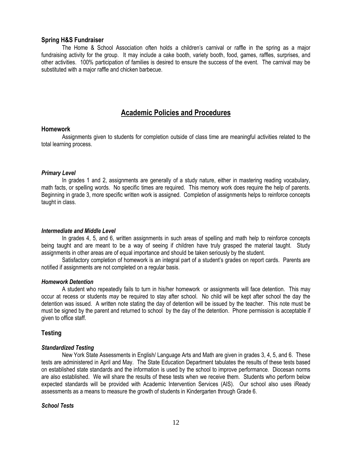## **Spring H&S Fundraiser**

The Home & School Association often holds a children's carnival or raffle in the spring as a major fundraising activity for the group. It may include a cake booth, variety booth, food, games, raffles, surprises, and other activities. 100% participation of families is desired to ensure the success of the event. The carnival may be substituted with a major raffle and chicken barbecue.

## **Academic Policies and Procedures**

## **Homework**

Assignments given to students for completion outside of class time are meaningful activities related to the total learning process.

## *Primary Level*

In grades 1 and 2, assignments are generally of a study nature, either in mastering reading vocabulary, math facts, or spelling words. No specific times are required. This memory work does require the help of parents. Beginning in grade 3, more specific written work is assigned. Completion of assignments helps to reinforce concepts taught in class.

## *Intermediate and Middle Level*

In grades 4, 5, and 6, written assignments in such areas of spelling and math help to reinforce concepts being taught and are meant to be a way of seeing if children have truly grasped the material taught. Study assignments in other areas are of equal importance and should be taken seriously by the student.

Satisfactory completion of homework is an integral part of a student's grades on report cards. Parents are notified if assignments are not completed on a regular basis.

#### *Homework Detention*

A student who repeatedly fails to turn in his/her homework or assignments will face detention. This may occur at recess or students *may* be required to stay after school. No child will be kept after school the day the detention was issued. A written note stating the day of detention will be issued by the teacher. This note must be must be signed by the parent and returned to school by the day of the detention. Phone permission is acceptable if given to office staff.

## **Testing**

## *Standardized Testing*

New York State Assessments in English/ Language Arts and Math are given in grades 3, 4, 5, and 6. These tests are administered in April and May. The State Education Department tabulates the results of these tests based on established state standards and the information is used by the school to improve performance. Diocesan norms are also established. We will share the results of these tests when we receive them. Students who perform below expected standards will be provided with Academic Intervention Services (AIS). Our school also uses iReady assessments as a means to measure the growth of students in Kindergarten through Grade 6.

## *School Tests*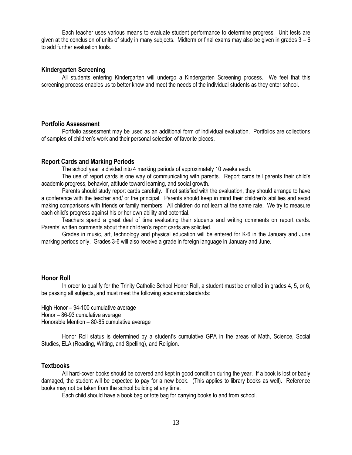Each teacher uses various means to evaluate student performance to determine progress. Unit tests are given at the conclusion of units of study in many subjects. Midterm or final exams may also be given in grades  $3 - 6$ to add further evaluation tools.

## **Kindergarten Screening**

All students entering Kindergarten will undergo a Kindergarten Screening process. We feel that this screening process enables us to better know and meet the needs of the individual students as they enter school.

## **Portfolio Assessment**

Portfolio assessment may be used as an additional form of individual evaluation. Portfolios are collections of samples of children's work and their personal selection of favorite pieces.

## **Report Cards and Marking Periods**

The school year is divided into 4 marking periods of approximately 10 weeks each.

The use of report cards is one way of communicating with parents. Report cards tell parents their child's academic progress, behavior, attitude toward learning, and social growth.

Parents should study report cards carefully. If not satisfied with the evaluation, they should arrange to have a conference with the teacher and/ or the principal. Parents should keep in mind their children's abilities and avoid making comparisons with friends or family members. All children do not learn at the same rate. We try to measure each child's progress against his or her own ability and potential.

Teachers spend a great deal of time evaluating their students and writing comments on report cards. Parents' written comments about their children's report cards are solicited.

Grades in music, art, technology and physical education will be entered for K-6 in the January and June marking periods only. Grades 3-6 will also receive a grade in foreign language in January and June.

## **Honor Roll**

In order to qualify for the Trinity Catholic School Honor Roll, a student must be enrolled in grades 4, 5, or 6, be passing all subjects, and must meet the following academic standards:

High Honor – 94-100 cumulative average Honor – 86-93 cumulative average Honorable Mention – 80-85 cumulative average

Honor Roll status is determined by a student's cumulative GPA in the areas of Math, Science, Social Studies, ELA (Reading, Writing, and Spelling), and Religion.

## **Textbooks**

All hard-cover books should be covered and kept in good condition during the year. If a book is lost or badly damaged, the student will be expected to pay for a new book. (This applies to library books as well). Reference books may not be taken from the school building at any time.

Each child should have a book bag or tote bag for carrying books to and from school.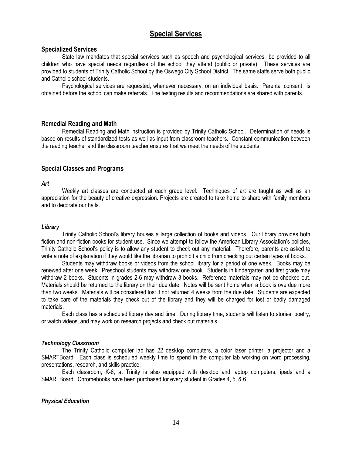## **Special Services**

## **Specialized Services**

State law mandates that special services such as speech and psychological services be provided to all children who have special needs regardless of the school they attend (public or private). These services are provided to students of Trinity Catholic School by the Oswego City School District. The same staffs serve both public and Catholic school students.

Psychological services are requested, whenever necessary, on an individual basis. Parental consent is obtained before the school can make referrals. The testing results and recommendations are shared with parents.

## **Remedial Reading and Math**

Remedial Reading and Math instruction is provided by Trinity Catholic School. Determination of needs is based on results of standardized tests as well as input from classroom teachers. Constant communication between the reading teacher and the classroom teacher ensures that we meet the needs of the students.

## **Special Classes and Programs**

## *Art*

Weekly art classes are conducted at each grade level. Techniques of art are taught as well as an appreciation for the beauty of creative expression. Projects are created to take home to share with family members and to decorate our halls.

## *Library*

Trinity Catholic School's library houses a large collection of books and videos. Our library provides both fiction and non-fiction books for student use. Since we attempt to follow the American Library Association's policies, Trinity Catholic School's policy is to allow any student to check out any material. Therefore, parents are asked to write a note of explanation if they would like the librarian to prohibit a child from checking out certain types of books.

Students may withdraw books or videos from the school library for a period of one week. Books may be renewed after one week. Preschool students may withdraw one book. Students in kindergarten and first grade may withdraw 2 books. Students in grades 2-6 may withdraw 3 books. Reference materials may not be checked out. Materials should be returned to the library on their due date. Notes will be sent home when a book is overdue more than two weeks. Materials will be considered lost if not returned 4 weeks from the due date. Students are expected to take care of the materials they check out of the library and they will be charged for lost or badly damaged materials.

Each class has a scheduled library day and time. During library time, students will listen to stories, poetry, or watch videos, and may work on research projects and check out materials.

## *Technology Classroom*

The Trinity Catholic computer lab has 22 desktop computers, a color laser printer, a projector and a SMARTBoard. Each class is scheduled weekly time to spend in the computer lab working on word processing, presentations, research, and skills practice.

Each classroom, K-6, at Trinity is also equipped with desktop and laptop computers, ipads and a SMARTBoard. Chromebooks have been purchased for every student in Grades 4, 5, & 6.

## *Physical Education*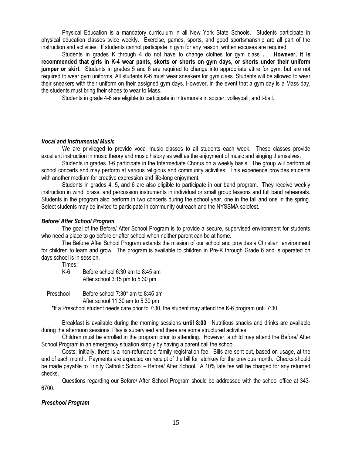Physical Education is a mandatory curriculum in all New York State Schools. Students participate in physical education classes twice weekly. Exercise, games, sports, and good sportsmanship are all part of the instruction and activities. If students cannot participate in gym for any reason, written excuses are required.

Students in grades K through 4 do not have to change clothes for gym class **. However, it is recommended that girls in K-4 wear pants, skorts or shorts on gym days, or shorts under their uniform jumper or skirt.** Students in grades 5 and 6 are required to change into appropriate attire for gym, but are not required to wear gym uniforms. All students K-6 must wear sneakers for gym class. Students will be allowed to wear their sneakers with their uniform on their assigned gym days. However, in the event that a gym day is a Mass day, the students must bring their shoes to wear to Mass.

Students in grade 4-6 are eligible to participate in Intramurals in soccer, volleyball, and t-ball.

## *Vocal and Instrumental Music*

We are privileged to provide vocal music classes to all students each week. These classes provide excellent instruction in music theory and music history as well as the enjoyment of music and singing themselves.

Students in grades 3-6 participate in the Intermediate Chorus on a weekly basis. The group will perform at school concerts and may perform at various religious and community activities. This experience provides students with another medium for creative expression and life-long enjoyment.

Students in grades 4, 5, and 6 are also eligible to participate in our band program. They receive weekly instruction in wind, brass, and percussion instruments in individual or small group lessons and full band rehearsals. Students in the program also perform in two concerts during the school year, one in the fall and one in the spring. Select students may be invited to participate in community outreach and the NYSSMA solofest.

## *Before/ After School Program*

The goal of the Before/ After School Program is to provide a secure, supervised environment for students who need a place to go before or after school when neither parent can be at home.

The Before/ After School Program extends the mission of our school and provides a Christian environment for children to learn and grow. The program is available to children in Pre-K through Grade 6 and is operated on days school is in session.

Times:

K-6 Before school 6:30 am to 8:45 am After school 3:15 pm to 5:30 pm

Preschool Before school 7:30\* am to 8:45 am

After school 11:30 am to 5:30 pm

\*If a Preschool student needs care prior to 7:30, the student may attend the K-6 program until 7:30.

Breakfast is available during the morning sessions **until 8:00**. Nutritious snacks and drinks are available during the afternoon sessions. Play is supervised and there are some structured activities.

Children must be enrolled in the program prior to attending. However, a child may attend the Before/ After School Program in an emergency situation simply by having a parent call the school.

Costs: Initially, there is a non-refundable family registration fee. Bills are sent out, based on usage, at the end of each month. Payments are expected on receipt of the bill for latchkey for the previous month. Checks should be made payable to Trinity Catholic School – Before/ After School. A 10% late fee will be charged for any returned checks.

Questions regarding our Before/ After School Program should be addressed with the school office at 343- 6700.

## *Preschool Program*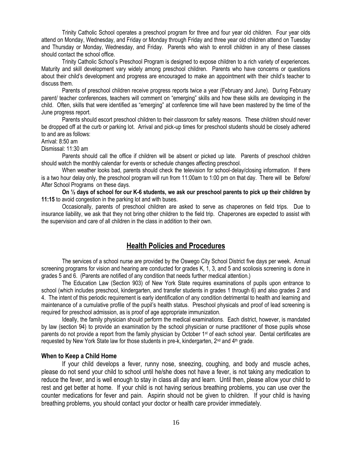Trinity Catholic School operates a preschool program for three and four year old children. Four year olds attend on Monday, Wednesday, and Friday or Monday through Friday and three year old children attend on Tuesday and Thursday or Monday, Wednesday, and Friday. Parents who wish to enroll children in any of these classes should contact the school office.

Trinity Catholic School's Preschool Program is designed to expose children to a rich variety of experiences. Maturity and skill development vary widely among preschool children. Parents who have concerns or questions about their child's development and progress are encouraged to make an appointment with their child's teacher to discuss them.

Parents of preschool children receive progress reports twice a year (February and June). During February parent/ teacher conferences, teachers will comment on "emerging" skills and how these skills are developing in the child. Often, skills that were identified as "emerging" at conference time will have been mastered by the time of the June progress report.

Parents should escort preschool children to their classroom for safety reasons. These children should never be dropped off at the curb or parking lot. Arrival and pick-up times for preschool students should be closely adhered to and are as follows:

Arrival: 8:50 am

Dismissal: 11:30 am

Parents should call the office if children will be absent or picked up late. Parents of preschool children should watch the monthly calendar for events or schedule changes affecting preschool.

When weather looks bad, parents should check the television for school-delay/closing information. If there is a two hour delay only, the preschool program will run from 11:00am to 1:00 pm on that day. There will be Before/ After School Programs on these days.

**On ½ days of school for our K-6 students, we ask our preschool parents to pick up their children by 11:15** to avoid congestion in the parking lot and with buses.

Occasionally, parents of preschool children are asked to serve as chaperones on field trips. Due to insurance liability, we ask that they not bring other children to the field trip. Chaperones are expected to assist with the supervision and care of all children in the class in addition to their own.

## **Health Policies and Procedures**

The services of a school nurse are provided by the Oswego City School District five days per week. Annual screening programs for vision and hearing are conducted for grades K, 1, 3, and 5 and scoliosis screening is done in grades 5 and 6. (Parents are notified of any condition that needs further medical attention.)

The Education Law (Section 903) of New York State requires examinations of pupils upon entrance to school (which includes preschool, kindergarten, and transfer students in grades 1 through 6) and also grades 2 and 4. The intent of this periodic requirement is early identification of any condition detrimental to health and learning and maintenance of a cumulative profile of the pupil's health status. Preschool physicals and proof of lead screening is required for preschool admission, as is proof of age appropriate immunization.

Ideally, the family physician should perform the medical examinations. Each district, however, is mandated by law (section 94) to provide an examination by the school physician or nurse practitioner of those pupils whose parents do not provide a report from the family physician by October 1st of each school year. Dental certificates are requested by New York State law for those students in pre-k, kindergarten,  $2<sup>nd</sup>$  and  $4<sup>th</sup>$  grade.

## **When to Keep a Child Home**

If your child develops a fever, runny nose, sneezing, coughing, and body and muscle aches, please do not send your child to school until he/she does not have a fever, is not taking any medication to reduce the fever, and is well enough to stay in class all day and learn. Until then, please allow your child to rest and get better at home. If your child is not having serious breathing problems, you can use over the counter medications for fever and pain. Aspirin should not be given to children. If your child is having breathing problems, you should contact your doctor or health care provider immediately.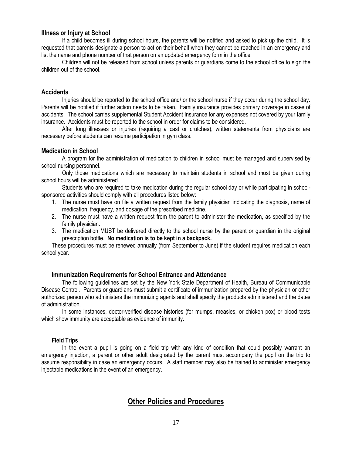## **Illness or Injury at School**

If a child becomes ill during school hours, the parents will be notified and asked to pick up the child. It is requested that parents designate a person to act on their behalf when they cannot be reached in an emergency and list the name and phone number of that person on an updated emergency form in the office.

Children will not be released from school unless parents or guardians come to the school office to sign the children out of the school.

## **Accidents**

Injuries should be reported to the school office and/ or the school nurse if they occur during the school day. Parents will be notified if further action needs to be taken. Family insurance provides primary coverage in cases of accidents. The school carries supplemental Student Accident Insurance for any expenses not covered by your family insurance. Accidents must be reported to the school in order for claims to be considered.

After long illnesses or injuries (requiring a cast or crutches), written statements from physicians are necessary before students can resume participation in gym class.

## **Medication in School**

A program for the administration of medication to children in school must be managed and supervised by school nursing personnel.

Only those medications which are necessary to maintain students in school and must be given during school hours will be administered.

Students who are required to take medication during the regular school day or while participating in schoolsponsored activities should comply with all procedures listed below:

- 1. The nurse must have on file a written request from the family physician indicating the diagnosis, name of medication, frequency, and dosage of the prescribed medicine.
- 2. The nurse must have a written request from the parent to administer the medication, as specified by the family physician.
- 3. The medication MUST be delivered directly to the school nurse by the parent or guardian in the original prescription bottle. **No medication is to be kept in a backpack.**

These procedures must be renewed annually (from September to June) if the student requires medication each school year.

## **Immunization Requirements for School Entrance and Attendance**

The following guidelines are set by the New York State Department of Health, Bureau of Communicable Disease Control. Parents or guardians must submit a certificate of immunization prepared by the physician or other authorized person who administers the immunizing agents and shall specify the products administered and the dates of administration.

In some instances, doctor-verified disease histories (for mumps, measles, or chicken pox) or blood tests which show immunity are acceptable as evidence of immunity.

## **Field Trips**

In the event a pupil is going on a field trip with any kind of condition that could possibly warrant an emergency injection, a parent or other adult designated by the parent must accompany the pupil on the trip to assume responsibility in case an emergency occurs. A staff member may also be trained to administer emergency injectable medications in the event of an emergency.

## **Other Policies and Procedures**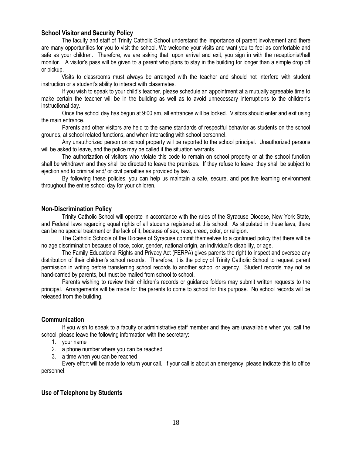## **School Visitor and Security Policy**

The faculty and staff of Trinity Catholic School understand the importance of parent involvement and there are many opportunities for you to visit the school. We welcome your visits and want you to feel as comfortable and safe as your children. Therefore, we are asking that, upon arrival and exit, you sign in with the receptionist/hall monitor. A visitor's pass will be given to a parent who plans to stay in the building for longer than a simple drop off or pickup.

 Visits to classrooms must always be arranged with the teacher and should not interfere with student instruction or a student's ability to interact with classmates.

If you wish to speak to your child's teacher, please schedule an appointment at a mutually agreeable time to make certain the teacher will be in the building as well as to avoid unnecessary interruptions to the children's instructional day.

Once the school day has begun at 9:00 am, all entrances will be locked. Visitors should enter and exit using the main entrance.

Parents and other visitors are held to the same standards of respectful behavior as students on the school grounds, at school related functions, and when interacting with school personnel.

Any unauthorized person on school property will be reported to the school principal. Unauthorized persons will be asked to leave, and the police may be called if the situation warrants.

The authorization of visitors who violate this code to remain on school property or at the school function shall be withdrawn and they shall be directed to leave the premises. If they refuse to leave, they shall be subject to ejection and to criminal and/ or civil penalties as provided by law.

By following these policies, you can help us maintain a safe, secure, and positive learning environment throughout the entire school day for your children.

## **Non-Discrimination Policy**

Trinity Catholic School will operate in accordance with the rules of the Syracuse Diocese, New York State, and Federal laws regarding equal rights of all students registered at this school. As stipulated in these laws, there can be no special treatment or the lack of it, because of sex, race, creed, color, or religion.

The Catholic Schools of the Diocese of Syracuse commit themselves to a continued policy that there will be no age discrimination because of race, color, gender, national origin, an individual's disability, or age.

The Family Educational Rights and Privacy Act (FERPA) gives parents the right to inspect and oversee any distribution of their children's school records. Therefore, it is the policy of Trinity Catholic School to request parent permission in writing before transferring school records to another school or agency. Student records may not be hand-carried by parents, but must be mailed from school to school.

Parents wishing to review their children's records or guidance folders may submit written requests to the principal. Arrangements will be made for the parents to come to school for this purpose. No school records will be released from the building.

## **Communication**

If you wish to speak to a faculty or administrative staff member and they are unavailable when you call the school, please leave the following information with the secretary:

- 1. your name
- 2. a phone number where you can be reached
- 3. a time when you can be reached

Every effort will be made to return your call. If your call is about an emergency, please indicate this to office personnel.

## **Use of Telephone by Students**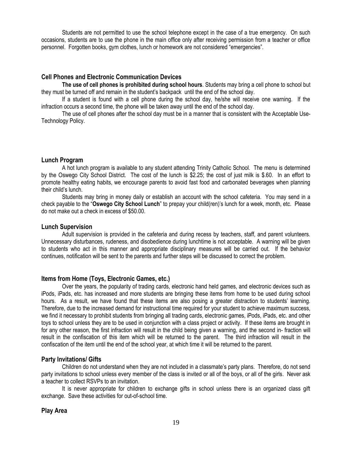Students are not permitted to use the school telephone except in the case of a true emergency. On such occasions, students are to use the phone in the main office only after receiving permission from a teacher or office personnel. Forgotten books, gym clothes, lunch or homework are not considered "emergencies".

## **Cell Phones and Electronic Communication Devices**

**The use of cell phones is prohibited during school hours**. Students may bring a cell phone to school but they must be turned off and remain in the student's backpack until the end of the school day.

If a student is found with a cell phone during the school day, he/she will receive one warning. If the infraction occurs a second time, the phone will be taken away until the end of the school day.

The use of cell phones after the school day must be in a manner that is consistent with the Acceptable Use-Technology Policy.

## **Lunch Program**

A hot lunch program is available to any student attending Trinity Catholic School. The menu is determined by the Oswego City School District. The cost of the lunch is \$2.25; the cost of just milk is \$.60. In an effort to promote healthy eating habits, we encourage parents to avoid fast food and carbonated beverages when planning their child's lunch.

Students may bring in money daily or establish an account with the school cafeteria. You may send in a check payable to the "**Oswego City School Lunch**" to prepay your child(ren)'s lunch for a week, month, etc. Please do not make out a check in excess of \$50.00.

## **Lunch Supervision**

Adult supervision is provided in the cafeteria and during recess by teachers, staff, and parent volunteers. Unnecessary disturbances, rudeness, and disobedience during lunchtime is not acceptable. A warning will be given to students who act in this manner and appropriate disciplinary measures will be carried out. If the behavior continues, notification will be sent to the parents and further steps will be discussed to correct the problem.

## **Items from Home (Toys, Electronic Games, etc.)**

Over the years, the popularity of trading cards, electronic hand held games, and electronic devices such as iPods, iPads, etc. has increased and more students are bringing these items from home to be used during school hours. As a result, we have found that these items are also posing a greater distraction to students' learning. Therefore, due to the increased demand for instructional time required for your student to achieve maximum success, we find it necessary to prohibit students from bringing all trading cards, electronic games, iPods, iPads, etc. and other toys to school unless they are to be used in conjunction with a class project or activity. If these items are brought in for any other reason, the first infraction will result in the child being given a warning, and the second in- fraction will result in the confiscation of this item which will be returned to the parent. The third infraction will result in the confiscation of the item until the end of the school year, at which time it will be returned to the parent.

## **Party Invitations/ Gifts**

Children do not understand when they are not included in a classmate's party plans. Therefore, do not send party invitations to school unless every member of the class is invited or all of the boys, or all of the girls. Never ask a teacher to collect RSVPs to an invitation.

It is never appropriate for children to exchange gifts in school unless there is an organized class gift exchange. Save these activities for out-of-school time.

## **Play Area**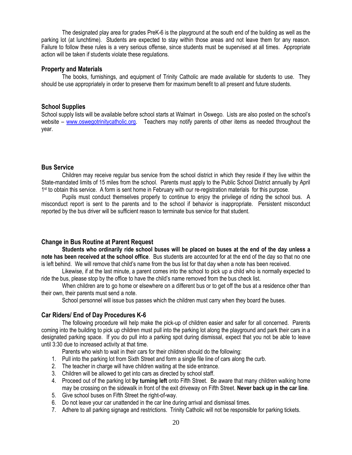The designated play area for grades PreK-6 is the playground at the south end of the building as well as the parking lot (at lunchtime). Students are expected to stay within those areas and not leave them for any reason. Failure to follow these rules is a very serious offense, since students must be supervised at all times. Appropriate action will be taken if students violate these regulations.

## **Property and Materials**

The books, furnishings, and equipment of Trinity Catholic are made available for students to use. They should be use appropriately in order to preserve them for maximum benefit to all present and future students.

## **School Supplies**

School supply lists will be available before school starts at Walmart in Oswego. Lists are also posted on the school's website – [www.oswegotrinitycatholic.org.](http://www.oswegotrinitycatholic.org/) Teachers may notify parents of other items as needed throughout the year.

## **Bus Service**

Children may receive regular bus service from the school district in which they reside if they live within the State-mandated limits of 15 miles from the school. Parents must apply to the Public School District annually by April 1<sup>st</sup> to obtain this service. A form is sent home in February with our re-registration materials for this purpose.

Pupils must conduct themselves properly to continue to enjoy the privilege of riding the school bus. A misconduct report is sent to the parents and to the school if behavior is inappropriate. Persistent misconduct reported by the bus driver will be sufficient reason to terminate bus service for that student.

## **Change in Bus Routine at Parent Request**

**Students who ordinarily ride school buses will be placed on buses at the end of the day unless a note has been received at the school office**. Bus students are accounted for at the end of the day so that no one is left behind. We will remove that child's name from the bus list for that day when a note has been received.

Likewise, if at the last minute, a parent comes into the school to pick up a child who is normally expected to ride the bus, please stop by the office to have the child's name removed from the bus check list.

When children are to go home or elsewhere on a different bus or to get off the bus at a residence other than their own, their parents must send a note.

School personnel will issue bus passes which the children must carry when they board the buses.

## **Car Riders/ End of Day Procedures K-6**

The following procedure will help make the pick-up of children easier and safer for all concerned. Parents coming into the building to pick up children must pull into the parking lot along the playground and park their cars in a designated parking space. If you do pull into a parking spot during dismissal, expect that you not be able to leave until 3:30 due to increased activity at that time.

Parents who wish to wait in their cars for their children should do the following:

- 1. Pull into the parking lot from Sixth Street and form a single file line of cars along the curb.
- 2. The teacher in charge will have children waiting at the side entrance.
- 3. Children will be allowed to get into cars as directed by school staff.
- 4. Proceed out of the parking lot **by turning left** onto Fifth Street. Be aware that many children walking home may be crossing on the sidewalk in front of the exit driveway on Fifth Street. **Never back up in the car line**.
- 5. Give school buses on Fifth Street the right-of-way.
- 6. Do not leave your car unattended in the car line during arrival and dismissal times.
- 7. Adhere to all parking signage and restrictions. Trinity Catholic will not be responsible for parking tickets.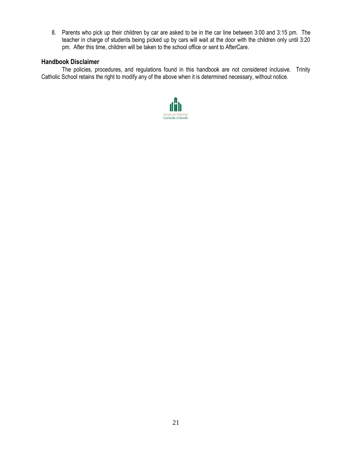8. Parents who pick up their children by car are asked to be in the car line between 3:00 and 3:15 pm. The teacher in charge of students being picked up by cars will wait at the door with the children only until 3:20 pm. After this time, children will be taken to the school office or sent to AfterCare.

## **Handbook Disclaimer**

The policies, procedures, and regulations found in this handbook are not considered inclusive. Trinity Catholic School retains the right to modify any of the above when it is determined necessary, without notice.

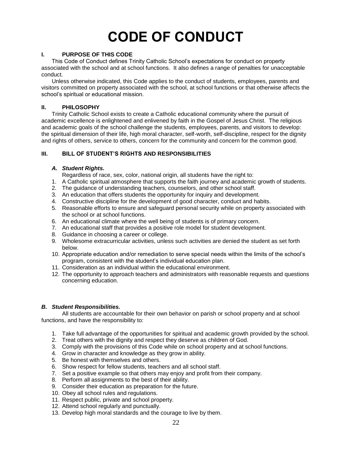## **CODE OF CONDUCT**

## **I. PURPOSE OF THIS CODE**

This Code of Conduct defines Trinity Catholic School's expectations for conduct on property associated with the school and at school functions. It also defines a range of penalties for unacceptable conduct.

Unless otherwise indicated, this Code applies to the conduct of students, employees, parents and visitors committed on property associated with the school, at school functions or that otherwise affects the school's spiritual or educational mission.

## **II. PHILOSOPHY**

Trinity Catholic School exists to create a Catholic educational community where the pursuit of academic excellence is enlightened and enlivened by faith in the Gospel of Jesus Christ. The religious and academic goals of the school challenge the students, employees, parents, and visitors to develop: the spiritual dimension of their life, high moral character, self-worth, self-discipline, respect for the dignity and rights of others, service to others, concern for the community and concern for the common good.

## **III. BILL OF STUDENT'S RIGHTS AND RESPONSIBILITIES**

## *A. Student Rights.*

Regardless of race, sex, color, national origin, all students have the right to:

- 1. A Catholic spiritual atmosphere that supports the faith journey and academic growth of students.
- 2. The guidance of understanding teachers, counselors, and other school staff.
- 3. An education that offers students the opportunity for inquiry and development.
- 4. Constructive discipline for the development of good character, conduct and habits.
- 5. Reasonable efforts to ensure and safeguard personal security while on property associated with the school or at school functions.
- 6. An educational climate where the well being of students is of primary concern.
- 7. An educational staff that provides a positive role model for student development.
- 8. Guidance in choosing a career or college.
- 9. Wholesome extracurricular activities, unless such activities are denied the student as set forth below.
- 10. Appropriate education and/or remediation to serve special needs within the limits of the school's program, consistent with the student's individual education plan.
- 11. Consideration as an individual within the educational environment.
- 12. The opportunity to approach teachers and administrators with reasonable requests and questions concerning education.

## *B. Student Responsibilities.*

All students are accountable for their own behavior on parish or school property and at school functions, and have the responsibility to:

- 1. Take full advantage of the opportunities for spiritual and academic growth provided by the school.
- 2. Treat others with the dignity and respect they deserve as children of God.
- 3. Comply with the provisions of this Code while on school property and at school functions.
- 4. Grow in character and knowledge as they grow in ability.
- 5. Be honest with themselves and others.
- 6. Show respect for fellow students, teachers and all school staff.
- 7. Set a positive example so that others may enjoy and profit from their company.
- 8. Perform all assignments to the best of their ability.
- 9. Consider their education as preparation for the future.
- 10. Obey all school rules and regulations.
- 11. Respect public, private and school property.
- 12. Attend school regularly and punctually.
- 13. Develop high moral standards and the courage to live by them.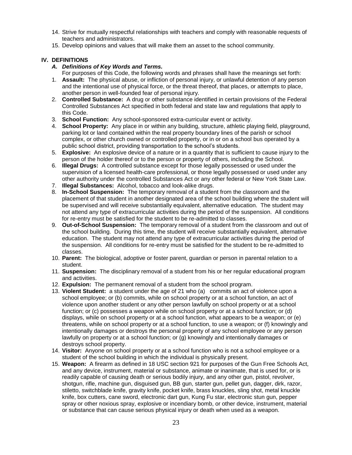- 14. Strive for mutually respectful relationships with teachers and comply with reasonable requests of teachers and administrators.
- 15. Develop opinions and values that will make them an asset to the school community.

## **IV. DEFINITIONS**

- *A. Definitions of Key Words and Terms.*
- For purposes of this Code, the following words and phrases shall have the meanings set forth:
- 1. **Assault:** The physical abuse, or infliction of personal injury, or unlawful detention of any person and the intentional use of physical force, or the threat thereof, that places, or attempts to place, another person in well-founded fear of personal injury.
- 2. **Controlled Substance:** A drug or other substance identified in certain provisions of the Federal Controlled Substances Act specified in both federal and state law and regulations that apply to this Code.
- 3. **School Function:** Any school-sponsored extra-curricular event or activity.
- 4. **School Property:** Any place in or within any building, structure, athletic playing field, playground, parking lot or land contained within the real property boundary lines of the parish or school complex, or other church owned or controlled property, or in or on a school bus operated by a public school district, providing transportation to the school's students.
- 5. **Explosive:** An explosive device of a nature or in a quantity that is sufficient to cause injury to the person of the holder thereof or to the person or property of others, including the School.
- 6. **Illegal Drugs:** A controlled substance except for those legally possessed or used under the supervision of a licensed health-care professional, or those legally possessed or used under any other authority under the controlled Substances Act or any other federal or New York State Law.
- 7. **Illegal Substances:** Alcohol, tobacco and look-alike drugs.
- 8. **In-School Suspension:** The temporary removal of a student from the classroom and the placement of that student in another designated area of the school building where the student will be supervised and will receive substantially equivalent, alternative education. The student may not attend any type of extracurricular activities during the period of the suspension. All conditions for re-entry must be satisfied for the student to be re-admitted to classes.
- 9. **Out-of-School Suspension:** The temporary removal of a student from the classroom and out of the school building. During this time, the student will receive substantially equivalent, alternative education. The student may not attend any type of extracurricular activities during the period of the suspension. All conditions for re-entry must be satisfied for the student to be re-admitted to classes.
- 10. **Parent:** The biological, adoptive or foster parent, guardian or person in parental relation to a student.
- 11. **Suspension:** The disciplinary removal of a student from his or her regular educational program and activities.
- 12. **Expulsion:** The permanent removal of a student from the school program.
- 13. **Violent Student:** a student under the age of 21 who (a) commits an act of violence upon a school employee; or (b) commits, while on school property or at a school function, an act of violence upon another student or any other person lawfully on school property or at a school function; or (c) possesses a weapon while on school property or at a school function; or (d) displays, while on school property or at a school function, what appears to be a weapon; or (e) threatens, while on school property or at a school function, to use a weapon; or (f) knowingly and intentionally damages or destroys the personal property of any school employee or any person lawfully on property or at a school function; or (g) knowingly and intentionally damages or destroys school property.
- 14. **Visitor:** Anyone on school property or at a school function who is not a school employee or a student of the school building in which the individual is physically present.
- 15. **Weapon:** A firearm as defined in 18 USC section 921 for purposes of the Gun Free Schools Act, and any device, instrument, material or substance, animate or inanimate, that is used for, or is readily capable of causing death or serious bodily injury, and any other gun, pistol, revolver, shotgun, rifle, machine gun, disguised gun, BB gun, starter gun, pellet gun, dagger, dirk, razor, stiletto, switchblade knife, gravity knife, pocket knife, brass knuckles, sling shot, metal knuckle knife, box cutters, cane sword, electronic dart gun, Kung Fu star, electronic stun gun, pepper spray or other noxious spray, explosive or incendiary bomb, or other device, instrument, material or substance that can cause serious physical injury or death when used as a weapon.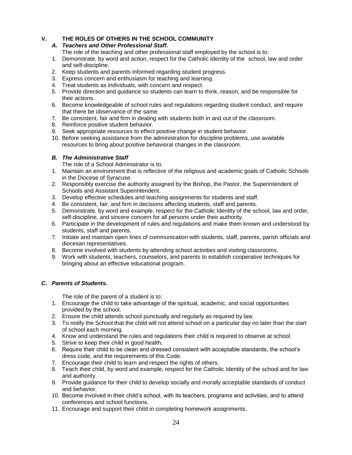## **V. THE ROLES OF OTHERS IN THE SCHOOL COMMUNITY**

## *A. Teachers and Other Professional Staff.*

- The role of the teaching and other professional staff employed by the school is to:
- 1. Demonstrate, by word and action, respect for the Catholic Identity of the school, law and order and self-discipline.
- 2. Keep students and parents informed regarding student progress.
- 3. Express concern and enthusiasm for teaching and learning.
- 4. Treat students as individuals, with concern and respect.
- 5. Provide direction and guidance so students can learn to think, reason, and be responsible for their actions.
- 6. Become knowledgeable of school rules and regulations regarding student conduct, and require that there be observance of the same.
- 7. Be consistent, fair and firm in dealing with students both in and out of the classroom.
- 8. Reinforce positive student behavior.
- 9. Seek appropriate resources to effect positive change in student behavior.
- 10. Before seeking assistance from the administration for discipline problems, use available resources to bring about positive behavioral changes in the classroom.

## *B. The Administrative Staff*

The role of a School Administrator is to:

- 1. Maintain an environment that is reflective of the religious and academic goals of Catholic Schools in the Diocese of Syracuse.
- 2. Responsibly exercise the authority assigned by the Bishop, the Pastor, the Superintendent of Schools and Assistant Superintendent.
- 3. Develop effective schedules and teaching assignments for students and staff.
- 4. Be consistent, fair, and firm in decisions affecting students, staff and parents.
- 5. Demonstrate, by word and example, respect for the Catholic Identity of the school, law and order, self-discipline, and sincere concern for all persons under their authority.
- 6. Participate in the development of rules and regulations and make them known and understood by students, staff and parents.
- 7. Initiate and maintain open lines of communication with students, staff, parents, parish officials and diocesan representatives.
- 8. Become involved with students by attending school activities and visiting classrooms.
- 9. Work with students, teachers, counselors, and parents to establish cooperative techniques for bringing about an effective educational program.

## *C. Parents of Students.*

The role of the parent of a student is to:

- 1. Encourage the child to take advantage of the spiritual, academic, and social opportunities provided by the school.
- 2. Ensure the child attends school punctually and regularly as required by law.
- 3. To notify the School that the child will not attend school on a particular day no later than the start of school each morning.
- 4. Know and understand the rules and regulations their child is required to observe at school.
- 5. Strive to keep their child in good health.
- 6. Require their child to be clean and dressed consistent with acceptable standards, the school's dress code, and the requirements of this Code.
- 7. Encourage their child to learn and respect the rights of others.
- 8. Teach their child, by word and example, respect for the Catholic Identity of the school and for law and authority.
- 9. Provide guidance for their child to develop socially and morally acceptable standards of conduct and behavior.
- 10. Become involved in their child's school, with its teachers, programs and activities, and to attend conferences and school functions.
- 11. Encourage and support their child in completing homework assignments.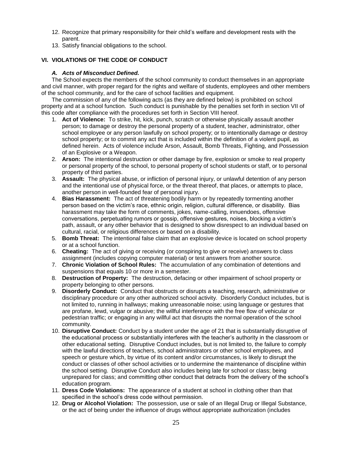- 12. Recognize that primary responsibility for their child's welfare and development rests with the parent.
- 13. Satisfy financial obligations to the school.

## **VI. VIOLATIONS OF THE CODE OF CONDUCT**

## *A. Acts of Misconduct Defined.*

The School expects the members of the school community to conduct themselves in an appropriate and civil manner, with proper regard for the rights and welfare of students, employees and other members of the school community, and for the care of school facilities and equipment.

The commission of any of the following acts (as they are defined below) is prohibited on school property and at a school function. Such conduct is punishable by the penalties set forth in section VII of this code after compliance with the procedures set forth in Section VIII hereof.

- 1. **Act of Violence:** To strike, hit, kick, punch, scratch or otherwise physically assault another person; to damage or destroy the personal property of a student, teacher, administrator, other school employee or any person lawfully on school property; or to intentionally damage or destroy school property; or to commit any act that is included within the definition of a violent pupil, as defined herein. Acts of violence include Arson, Assault, Bomb Threats, Fighting, and Possession of an Explosive or a Weapon.
- 2. **Arson:** The intentional destruction or other damage by fire, explosion or smoke to real property or personal property of the school, to personal property of school students or staff, or to personal property of third parties.
- 3. **Assault:** The physical abuse, or infliction of personal injury, or unlawful detention of any person and the intentional use of physical force, or the threat thereof, that places, or attempts to place, another person in well-founded fear of personal injury.
- 4. **Bias Harassment:** The act of threatening bodily harm or by repeatedly tormenting another person based on the victim's race, ethnic origin, religion, cultural difference, or disability. Bias harassment may take the form of comments, jokes, name-calling, innuendoes, offensive conversations, perpetuating rumors or gossip, offensive gestures, noises, blocking a victim's path, assault, or any other behavior that is designed to show disrespect to an individual based on cultural, racial, or religious differences or based on a disability.
- 5. **Bomb Threat:** The intentional false claim that an explosive device is located on school property or at a school function.
- 6. **Cheating:** The act of giving or receiving (or conspiring to give or receive) answers to class assignment (includes copying computer material) or test answers from another source.
- 7. **Chronic Violation of School Rules:** The accumulation of any combination of detentions and suspensions that equals 10 or more in a semester.
- 8. **Destruction of Property:** The destruction, defacing or other impairment of school property or property belonging to other persons.
- 9. **Disorderly Conduct:** Conduct that obstructs or disrupts a teaching, research, administrative or disciplinary procedure or any other authorized school activity. Disorderly Conduct includes, but is not limited to, running in hallways; making unreasonable noise; using language or gestures that are profane, lewd, vulgar or abusive; the willful interference with the free flow of vehicular or pedestrian traffic; or engaging in any willful act that disrupts the normal operation of the school community.
- 10. **Disruptive Conduct:** Conduct by a student under the age of 21 that is substantially disruptive of the educational process or substantially interferes with the teacher's authority in the classroom or other educational setting. Disruptive Conduct includes, but is not limited to, the failure to comply with the lawful directions of teachers, school administrators or other school employees, and speech or gesture which, by virtue of its content and/or circumstances, is likely to disrupt the conduct or classes of other school activities or to undermine the maintenance of discipline within the school setting. Disruptive Conduct also includes being late for school or class; being unprepared for class; and committing other conduct that detracts from the delivery of the school's education program.
- 11. **Dress Code Violations:** The appearance of a student at school in clothing other than that specified in the school's dress code without permission.
- 12. **Drug or Alcohol Violation:** The possession, use or sale of an Illegal Drug or Illegal Substance, or the act of being under the influence of drugs without appropriate authorization (includes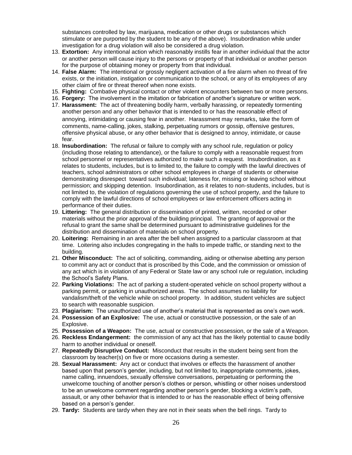substances controlled by law, marijuana, medication or other drugs or substances which stimulate or are purported by the student to be any of the above). Insubordination while under investigation for a drug violation will also be considered a drug violation.

- 13. **Extortion:** Any intentional action which reasonably instills fear in another individual that the actor or another person will cause injury to the persons or property of that individual or another person for the purpose of obtaining money or property from that individual.
- 14. **False Alarm:** The intentional or grossly negligent activation of a fire alarm when no threat of fire exists, or the initiation, instigation or communication to the school, or any of its employees of any other claim of fire or threat thereof when none exists.
- 15. **Fighting:** Combative physical contact or other violent encounters between two or more persons.
- 16. **Forgery:** The involvement in the imitation or fabrication of another's signature or written work.
- 17. **Harassment:** The act of threatening bodily harm, verbally harassing, or repeatedly tormenting another person and any other behavior that is intended to or has the reasonable effect of annoying, intimidating or causing fear in another. Harassment may remarks, take the form of comments, name-calling, jokes, stalking, perpetuating rumors or gossip, offensive gestures, offensive physical abuse, or any other behavior that is designed to annoy, intimidate, or cause fear.
- 18. **Insubordination:** The refusal or failure to comply with any school rule, regulation or policy (including those relating to attendance), or the failure to comply with a reasonable request from school personnel or representatives authorized to make such a request. Insubordination, as it relates to students, includes, but is to limited to, the failure to comply with the lawful directives of teachers, school administrators or other school employees in charge of students or otherwise demonstrating disrespect toward such individual; lateness for, missing or leaving school without permission; and skipping detention. Insubordination, as it relates to non-students, includes, but is not limited to, the violation of regulations governing the use of school property, and the failure to comply with the lawful directions of school employees or law enforcement officers acting in performance of their duties.
- 19. **Littering:** The general distribution or dissemination of printed, written, recorded or other materials without the prior approval of the building principal. The granting of approval or the refusal to grant the same shall be determined pursuant to administrative guidelines for the distribution and dissemination of materials on school property.
- 20. **Loitering:** Remaining in an area after the bell when assigned to a particular classroom at that time. Loitering also includes congregating in the halls to impede traffic, or standing next to the building.
- 21. **Other Misconduct:** The act of soliciting, commanding, aiding or otherwise abetting any person to commit any act or conduct that is proscribed by this Code, and the commission or omission of any act which is in violation of any Federal or State law or any school rule or regulation, including the School's Safety Plans.
- 22. **Parking Violations:** The act of parking a student-operated vehicle on school property without a parking permit, or parking in unauthorized areas. The school assumes no liability for vandalism/theft of the vehicle while on school property. In addition, student vehicles are subject to search with reasonable suspicion.
- 23. **Plagiarism:** The unauthorized use of another's material that is represented as one's own work.
- 24. **Possession of an Explosive:** The use, actual or constructive possession, or the sale of an Explosive.
- 25. **Possession of a Weapon:** The use, actual or constructive possession, or the sale of a Weapon.
- 26. **Reckless Endangerment:** the commission of any act that has the likely potential to cause bodily harm to another individual or oneself.
- 27. **Repeatedly Disruptive Conduct:** Misconduct that results in the student being sent from the classroom by teacher(s) on five or more occasions during a semester.
- 28. **Sexual Harassment:** Any act or conduct that involves or effects the harassment of another based upon that person's gender, including, but not limited to, inappropriate comments, jokes, name calling, innuendoes, sexually offensive conversations, perpetuating or performing the unwelcome touching of another person's clothes or person, whistling or other noises understood to be an unwelcome comment regarding another person's gender, blocking a victim's path, assault, or any other behavior that is intended to or has the reasonable effect of being offensive based on a person's gender.
- 29. **Tardy:** Students are tardy when they are not in their seats when the bell rings. Tardy to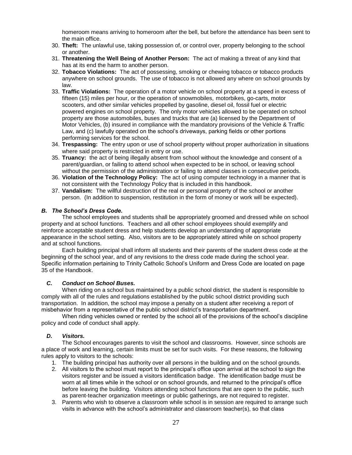homeroom means arriving to homeroom after the bell, but before the attendance has been sent to the main office.

- 30. **Theft:** The unlawful use, taking possession of, or control over, property belonging to the school or another.
- 31. **Threatening the Well Being of Another Person:** The act of making a threat of any kind that has at its end the harm to another person.
- 32. **Tobacco Violations:** The act of possessing, smoking or chewing tobacco or tobacco products anywhere on school grounds. The use of tobacco is not allowed any where on school grounds by law.
- 33. **Traffic Violations:** The operation of a motor vehicle on school property at a speed in excess of fifteen (15) miles per hour, or the operation of snowmobiles, motorbikes, go-carts, motor scooters, and other similar vehicles propelled by gasoline, diesel oil, fossil fuel or electric powered engines on school property. The only motor vehicles allowed to be operated on school property are those automobiles, buses and trucks that are (a) licensed by the Department of Motor Vehicles, (b) insured in compliance with the mandatory provisions of the Vehicle & Traffic Law, and (c) lawfully operated on the school's driveways, parking fields or other portions performing services for the school.
- 34. **Trespassing:** The entry upon or use of school property without proper authorization in situations where said property is restricted in entry or use.
- 35. **Truancy:** the act of being illegally absent from school without the knowledge and consent of a parent/guardian, or failing to attend school when expected to be in school, or leaving school without the permission of the administration or failing to attend classes in consecutive periods.
- 36. **Violation of the Technology Policy:** The act of using computer technology in a manner that is not consistent with the Technology Policy that is included in this handbook.
- 37. **Vandalism:** The willful destruction of the real or personal property of the school or another person. (In addition to suspension, restitution in the form of money or work will be expected).

## *B. The School's Dress Code.*

The school employees and students shall be appropriately groomed and dressed while on school property and at school functions. Teachers and all other school employees should exemplify and reinforce acceptable student dress and help students develop an understanding of appropriate appearance in the school setting. Also, visitors are to be appropriately attired while on school property and at school functions.

Each building principal shall inform all students and their parents of the student dress code at the beginning of the school year, and of any revisions to the dress code made during the school year. Specific information pertaining to Trinity Catholic School's Uniform and Dress Code are located on page 35 of the Handbook.

## *C. Conduct on School Buses.*

When riding on a school bus maintained by a public school district, the student is responsible to comply with all of the rules and regulations established by the public school district providing such transportation. In addition, the school may impose a penalty on a student after receiving a report of misbehavior from a representative of the public school district's transportation department.

When riding vehicles owned or rented by the school all of the provisions of the school's discipline policy and code of conduct shall apply.

## *D. Visitors.*

The School encourages parents to visit the school and classrooms. However, since schools are a place of work and learning, certain limits must be set for such visits. For these reasons, the following rules apply to visitors to the schools:

- 1. The building principal has authority over all persons in the building and on the school grounds.
- 2. All visitors to the school must report to the principal's office upon arrival at the school to sign the visitors register and be issued a visitors identification badge. The identification badge must be worn at all times while in the school or on school grounds, and returned to the principal's office before leaving the building. Visitors attending school functions that are open to the public, such as parent-teacher organization meetings or public gatherings, are not required to register.
- 3. Parents who wish to observe a classroom while school is in session are required to arrange such visits in advance with the school's administrator and classroom teacher(s), so that class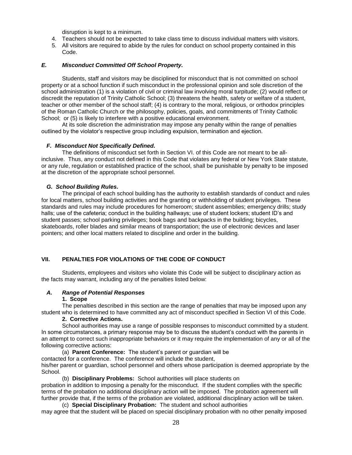disruption is kept to a minimum.

- 4. Teachers should not be expected to take class time to discuss individual matters with visitors.
- 5. All visitors are required to abide by the rules for conduct on school property contained in this Code.

## *E. Misconduct Committed Off School Property.*

Students, staff and visitors may be disciplined for misconduct that is not committed on school property or at a school function if such misconduct in the professional opinion and sole discretion of the school administration (1) is a violation of civil or criminal law involving moral turpitude; (2) would reflect or discredit the reputation of Trinity Catholic School; (3) threatens the health, safety or welfare of a student, teacher or other member of the school staff; (4) is contrary to the moral, religious, or orthodox principles of the Roman Catholic Church or the philosophy, policies, goals, and commitments of Trinity Catholic School; or (5) is likely to interfere with a positive educational environment.

At its sole discretion the administration may impose any penalty within the range of penalties outlined by the violator's respective group including expulsion, termination and ejection.

#### *F. Misconduct Not Specifically Defined.*

The definitions of misconduct set forth in Section VI. of this Code are not meant to be allinclusive. Thus, any conduct not defined in this Code that violates any federal or New York State statute, or any rule, regulation or established practice of the school, shall be punishable by penalty to be imposed at the discretion of the appropriate school personnel.

#### *G. School Building Rules.*

The principal of each school building has the authority to establish standards of conduct and rules for local matters, school building activities and the granting or withholding of student privileges. These standards and rules may include procedures for homeroom; student assemblies; emergency drills; study halls; use of the cafeteria; conduct in the building hallways; use of student lockers; student ID's and student passes; school parking privileges; book bags and backpacks in the building; bicycles, skateboards, roller blades and similar means of transportation; the use of electronic devices and laser pointers; and other local matters related to discipline and order in the building.

## **VII. PENALTIES FOR VIOLATIONS OF THE CODE OF CONDUCT**

Students, employees and visitors who violate this Code will be subject to disciplinary action as the facts may warrant, including any of the penalties listed below:

## *A. Range of Potential Responses*

#### **1. Scope**

The penalties described in this section are the range of penalties that may be imposed upon any student who is determined to have committed any act of misconduct specified in Section VI of this Code.

## **2. Corrective Actions.**

School authorities may use a range of possible responses to misconduct committed by a student. In some circumstances, a primary response may be to discuss the student's conduct with the parents in an attempt to correct such inappropriate behaviors or it may require the implementation of any or all of the following corrective actions:

(a) **Parent Conference:** The student's parent or guardian will be

contacted for a conference. The conference will include the student,

his/her parent or guardian, school personnel and others whose participation is deemed appropriate by the School.

(b) **Disciplinary Problems:** School authorities will place students on

probation in addition to imposing a penalty for the misconduct. If the student complies with the specific terms of the probation no additional disciplinary action will be imposed. The probation agreement will further provide that, if the terms of the probation are violated, additional disciplinary action will be taken.

(c) **Special Disciplinary Probation:** The student and school authorities may agree that the student will be placed on special disciplinary probation with no other penalty imposed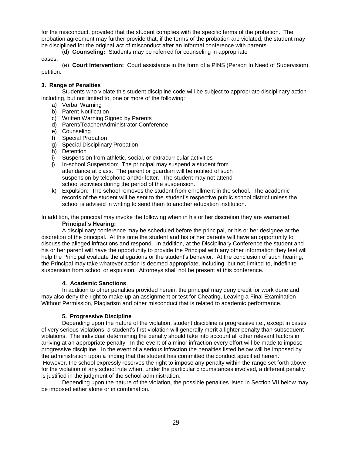for the misconduct, provided that the student complies with the specific terms of the probation. The probation agreement may further provide that, if the terms of the probation are violated, the student may be disciplined for the original act of misconduct after an informal conference with parents.

(d) **Counseling:** Students may be referred for counseling in appropriate

cases.

(e) **Court Intervention:** Court assistance in the form of a PINS (Person In Need of Supervision) petition.

## **3. Range of Penalties**

Students who violate this student discipline code will be subject to appropriate disciplinary action including, but not limited to, one or more of the following:

- a) Verbal Warning
- b) Parent Notification
- c) Written Warning Signed by Parents
- d) Parent/Teacher/Administrator Conference
- e) Counseling
- f) Special Probation
- g) Special Disciplinary Probation
- h) Detention
- i) Suspension from athletic, social, or extracurricular activities
- j) In-school Suspension: The principal may suspend a student from attendance at class. The parent or guardian will be notified of such suspension by telephone and/or letter. The student may not attend school activities during the period of the suspension.
- k) Expulsion: The school removes the student from enrollment in the school. The academic records of the student will be sent to the student's respective public school district unless the school is advised in writing to send them to another education institution.

In addition, the principal may invoke the following when in his or her discretion they are warranted: **Principal's Hearing:**

A disciplinary conference may be scheduled before the principal, or his or her designee at the discretion of the principal. At this time the student and his or her parents will have an opportunity to discuss the alleged infractions and respond. In addition, at the Disciplinary Conference the student and his or her parent will have the opportunity to provide the Principal with any other information they feel will help the Principal evaluate the allegations or the student's behavior. At the conclusion of such hearing, the Principal may take whatever action is deemed appropriate, including, but not limited to, indefinite suspension from school or expulsion. Attorneys shall not be present at this conference.

## **4. Academic Sanctions**

In addition to other penalties provided herein, the principal may deny credit for work done and may also deny the right to make-up an assignment or test for Cheating, Leaving a Final Examination Without Permission, Plagiarism and other misconduct that is related to academic performance.

## **5. Progressive Discipline**

Depending upon the nature of the violation, student discipline is progressive i.e., except in cases of very serious violations, a student's first violation will generally merit a lighter penalty than subsequent violations. The individual determining the penalty should take into account all other relevant factors in arriving at an appropriate penalty. In the event of a minor infraction every effort will be made to impose progressive discipline. In the event of a serious infraction the penalties listed below will be imposed by the administration upon a finding that the student has committed the conduct specified herein.

However, the school expressly reserves the right to impose any penalty within the range set forth above for the violation of any school rule when, under the particular circumstances involved, a different penalty is justified in the judgment of the school administration.

Depending upon the nature of the violation, the possible penalties listed in Section VII below may be imposed either alone or in combination.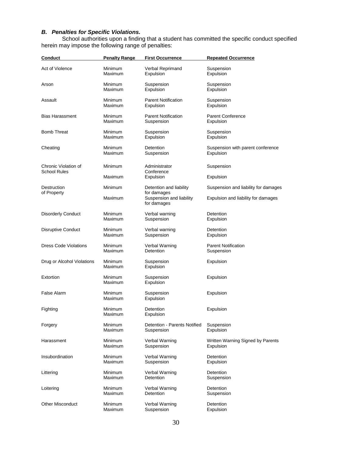#### *B. Penalties for Specific Violations.*

School authorities upon a finding that a student has committed the specific conduct specified herein may impose the following range of penalties:

| <b>Conduct</b>                              | <b>Penalty Range</b> | <b>First Occurrence</b>                                | <b>Repeated Occurrence</b>           |  |
|---------------------------------------------|----------------------|--------------------------------------------------------|--------------------------------------|--|
| Act of Violence                             | Minimum              | Verbal Reprimand                                       | Suspension                           |  |
|                                             | Maximum              | Expulsion                                              | Expulsion                            |  |
| Arson                                       | Minimum              | Suspension                                             | Suspension                           |  |
|                                             | Maximum              | Expulsion                                              | Expulsion                            |  |
| Assault                                     | Minimum              | <b>Parent Notification</b>                             | Suspension                           |  |
|                                             | Maximum              | Expulsion                                              | Expulsion                            |  |
| <b>Bias Harassment</b>                      | Minimum              | <b>Parent Notification</b>                             | <b>Parent Conference</b>             |  |
|                                             | Maximum              | Suspension                                             | Expulsion                            |  |
| <b>Bomb Threat</b>                          | Minimum              | Suspension                                             | Suspension                           |  |
|                                             | Maximum              | Expulsion                                              | Expulsion                            |  |
| Cheating                                    | Minimum              | <b>Detention</b>                                       | Suspension with parent conference    |  |
|                                             | Maximum              | Suspension                                             | Expulsion                            |  |
| Chronic Violation of<br><b>School Rules</b> | Minimum              | Administrator<br>Conference                            | Suspension                           |  |
|                                             | Maximum              | Expulsion                                              | Expulsion                            |  |
| Destruction                                 | Minimum              | Detention and liability                                | Suspension and liability for damages |  |
| of Property                                 | Maximum              | for damages<br>Suspension and liability<br>for damages | Expulsion and liability for damages  |  |
| <b>Disorderly Conduct</b>                   | Minimum              | Verbal warning                                         | Detention                            |  |
|                                             | Maximum              | Suspension                                             | Expulsion                            |  |
| <b>Disruptive Conduct</b>                   | Minimum              | Verbal warning                                         | Detention                            |  |
|                                             | Maximum              | Suspension                                             | Expulsion                            |  |
| Dress Code Violations                       | Minimum              | Verbal Warning                                         | <b>Parent Notification</b>           |  |
|                                             | Maximum              | <b>Detention</b>                                       | Suspension                           |  |
| Drug or Alcohol Violations                  | Minimum<br>Maximum   | Suspension<br>Expulsion                                | Expulsion                            |  |
| Extortion                                   | Minimum<br>Maximum   | Suspension<br>Expulsion                                | Expulsion                            |  |
| False Alarm                                 | Minimum<br>Maximum   | Suspension<br>Expulsion                                | Expulsion                            |  |
| Fighting                                    | Minimum<br>Maximum   | Detention<br>Expulsion                                 | Expulsion                            |  |
| Forgery                                     | Minimum              | Detention - Parents Notified                           | Suspension                           |  |
|                                             | Maximum              | Suspension                                             | Expulsion                            |  |
| Harassment                                  | Minimum              | Verbal Warning                                         | Written Warning Signed by Parents    |  |
|                                             | Maximum              | Suspension                                             | Expulsion                            |  |
| Insubordination                             | Minimum              | Verbal Warning                                         | Detention                            |  |
|                                             | Maximum              | Suspension                                             | Expulsion                            |  |
| Littering                                   | Minimum              | Verbal Warning                                         | Detention                            |  |
|                                             | Maximum              | <b>Detention</b>                                       | Suspension                           |  |
| Loitering                                   | Minimum              | Verbal Warning                                         | Detention                            |  |
|                                             | Maximum              | Detention                                              | Suspension                           |  |
| <b>Other Misconduct</b>                     | Minimum              | Verbal Warning                                         | Detention                            |  |
|                                             | Maximum              | Suspension                                             | Expulsion                            |  |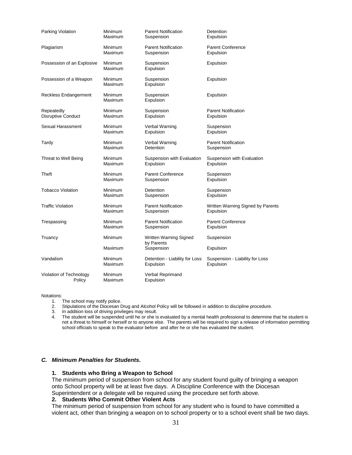| Parking Violation          | Minimum            | <b>Parent Notification</b>     | Detention                         |  |
|----------------------------|--------------------|--------------------------------|-----------------------------------|--|
|                            | Maximum            | Suspension                     | Expulsion                         |  |
| Plagiarism                 | Minimum            | <b>Parent Notification</b>     | <b>Parent Conference</b>          |  |
|                            | Maximum            | Suspension                     | Expulsion                         |  |
| Possession of an Explosive | Minimum<br>Maximum | Suspension<br>Expulsion        | Expulsion                         |  |
| Possession of a Weapon     | Minimum<br>Maximum | Suspension<br>Expulsion        | Expulsion                         |  |
| Reckless Endangerment      | Minimum<br>Maximum | Suspension<br>Expulsion        | Expulsion                         |  |
| Repeatedly                 | Minimum            | Suspension                     | <b>Parent Notification</b>        |  |
| <b>Disruptive Conduct</b>  | Maximum            | Expulsion                      | Expulsion                         |  |
| Sexual Harassment          | Minimum            | Verbal Warning                 | Suspension                        |  |
|                            | Maximum            | Expulsion                      | Expulsion                         |  |
| Tardy                      | Minimum            | Verbal Warning                 | <b>Parent Notification</b>        |  |
|                            | Maximum            | Detention                      | Suspension                        |  |
| Threat to Well Being       | Minimum            | Suspension with Evaluation     | Suspension with Evaluation        |  |
|                            | Maximum            | Expulsion                      | Expulsion                         |  |
| Theft                      | Minimum            | <b>Parent Conference</b>       | Suspension                        |  |
|                            | Maximum            | Suspension                     | Expulsion                         |  |
| <b>Tobacco Violation</b>   | Minimum            | Detention                      | Suspension                        |  |
|                            | Maximum            | Suspension                     | Expulsion                         |  |
| <b>Traffic Violation</b>   | Minimum            | <b>Parent Notification</b>     | Written Warning Signed by Parents |  |
|                            | Maximum            | Suspension                     | Expulsion                         |  |
| Trespassing                | Minimum            | <b>Parent Notification</b>     | <b>Parent Conference</b>          |  |
|                            | Maximum            | Suspension                     | Expulsion                         |  |
| Truancy                    | Minimum            | Written Warning Signed         | Suspension                        |  |
|                            | Maximum            | by Parents<br>Suspension       | Expulsion                         |  |
| Vandalism                  | Minimum            | Detention - Liability for Loss | Suspension - Liability for Loss   |  |
|                            | Maximum            | Expulsion                      | Expulsion                         |  |
| Violation of Technology    | Minimum            | Verbal Reprimand               |                                   |  |
| Policy                     | Maximum            | Expulsion                      |                                   |  |

#### Notations:

1. The school may notify police.

2. Stipulations of the Diocesan Drug and Alcohol Policy will be followed in addition to discipline procedure.

3. In addition loss of driving privileges may result.

4. The student will be suspended until he or she is evaluated by a mental health professional to determine that he student is not a threat to himself or herself or to anyone else. The parents will be required to sign a release of information permitting school officials to speak to the evaluator before and after he or she has evaluated the student.

## *C. Minimum Penalties for Students.*

#### **1. Students who Bring a Weapon to School**

The minimum period of suspension from school for any student found guilty of bringing a weapon onto School property will be at least five days. A Discipline Conference with the Diocesan Superintendent or a delegate will be required using the procedure set forth above.

#### **2. Students Who Commit Other Violent Acts**

The minimum period of suspension from school for any student who is found to have committed a violent act, other than bringing a weapon on to school property or to a school event shall be two days.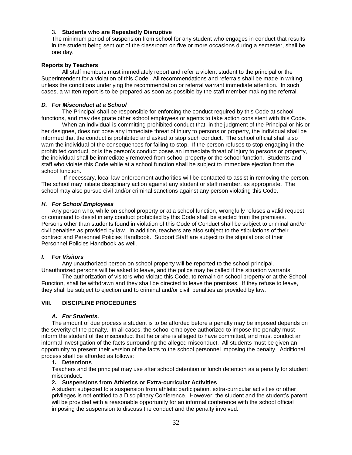## 3. **Students who are Repeatedly Disruptive**

The minimum period of suspension from school for any student who engages in conduct that results in the student being sent out of the classroom on five or more occasions during a semester, shall be one day.

## **Reports by Teachers**

All staff members must immediately report and refer a violent student to the principal or the Superintendent for a violation of this Code. All recommendations and referrals shall be made in writing, unless the conditions underlying the recommendation or referral warrant immediate attention. In such cases, a written report is to be prepared as soon as possible by the staff member making the referral.

## *D. For Misconduct at a School*

The Principal shall be responsible for enforcing the conduct required by this Code at school functions, and may designate other school employees or agents to take action consistent with this Code.

When an individual is committing prohibited conduct that, in the judgment of the Principal or his or her designee, does not pose any immediate threat of injury to persons or property, the individual shall be informed that the conduct is prohibited and asked to stop such conduct. The school official shall also warn the individual of the consequences for failing to stop. If the person refuses to stop engaging in the prohibited conduct, or is the person's conduct poses an immediate threat of injury to persons or property, the individual shall be immediately removed from school property or the school function. Students and staff who violate this Code while at a school function shall be subject to immediate ejection from the school function.

If necessary, local law enforcement authorities will be contacted to assist in removing the person. The school may initiate disciplinary action against any student or staff member, as appropriate. The school may also pursue civil and/or criminal sanctions against any person violating this Code.

## *H. For School Employees*

Any person who, while on school property or at a school function, wrongfully refuses a valid request or command to desist in any conduct prohibited by this Code shall be ejected from the premises. Persons other than students found in violation of this Code of Conduct shall be subject to criminal and/or civil penalties as provided by law. In addition, teachers are also subject to the stipulations of their contract and Personnel Policies Handbook. Support Staff are subject to the stipulations of their Personnel Policies Handbook as well.

## *I. For Visitors*

Any unauthorized person on school property will be reported to the school principal.

Unauthorized persons will be asked to leave, and the police may be called if the situation warrants. The authorization of visitors who violate this Code, to remain on school property or at the School Function, shall be withdrawn and they shall be directed to leave the premises. If they refuse to leave, they shall be subject to ejection and to criminal and/or civil penalties as provided by law.

## **VIII. DISCIPLINE PROCEDURES**

## *A. For Students.*

The amount of due process a student is to be afforded before a penalty may be imposed depends on the severity of the penalty. In all cases, the school employee authorized to impose the penalty must inform the student of the misconduct that he or she is alleged to have committed, and must conduct an informal investigation of the facts surrounding the alleged misconduct. All students must be given an opportunity to present their version of the facts to the school personnel imposing the penalty. Additional process shall be afforded as follows:

## **1. Detentions**

Teachers and the principal may use after school detention or lunch detention as a penalty for student misconduct.

## **2. Suspensions from Athletics or Extra-curricular Activities**

A student subjected to a suspension from athletic participation, extra-curricular activities or other privileges is not entitled to a Disciplinary Conference. However, the student and the student's parent will be provided with a reasonable opportunity for an informal conference with the school official imposing the suspension to discuss the conduct and the penalty involved.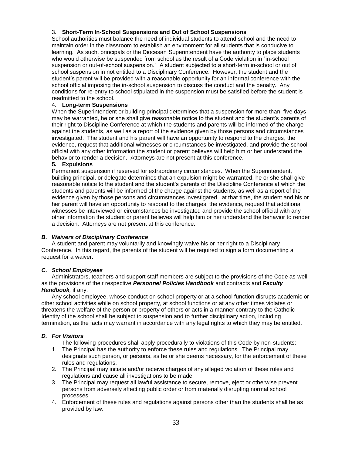## 3. **Short-Term In-School Suspensions and Out of School Suspensions**

School authorities must balance the need of individual students to attend school and the need to maintain order in the classroom to establish an environment for all students that is conducive to learning. As such, principals or the Diocesan Superintendent have the authority to place students who would otherwise be suspended from school as the result of a Code violation in "in-school suspension or out-of-school suspension." A student subjected to a short-term in-school or out of school suspension in not entitled to a Disciplinary Conference. However, the student and the student's parent will be provided with a reasonable opportunity for an informal conference with the school official imposing the in-school suspension to discuss the conduct and the penalty. Any conditions for re-entry to school stipulated in the suspension must be satisfied before the student is readmitted to the school.

## 4. **Long-term Suspensions**

When the Superintendent or building principal determines that a suspension for more than five days may be warranted, he or she shall give reasonable notice to the student and the student's parents of their right to Discipline Conference at which the students and parents will be informed of the charge against the students, as well as a report of the evidence given by those persons and circumstances investigated. The student and his parent will have an opportunity to respond to the charges, the evidence, request that additional witnesses or circumstances be investigated, and provide the school official with any other information the student or parent believes will help him or her understand the behavior to render a decision. Attorneys are not present at this conference.

## **5. Expulsions**

Permanent suspension if reserved for extraordinary circumstances. When the Superintendent, building principal, or delegate determines that an expulsion might be warranted, he or she shall give reasonable notice to the student and the student's parents of the Discipline Conference at which the students and parents will be informed of the charge against the students, as well as a report of the evidence given by those persons and circumstances investigated. at that time, the student and his or her parent will have an opportunity to respond to the charges, the evidence, request that additional witnesses be interviewed or circumstances be investigated and provide the school official with any other information the student or parent believes will help him or her understand the behavior to render a decision. Attorneys are not present at this conference.

## *B. Waivers of Disciplinary Conference*

A student and parent may voluntarily and knowingly waive his or her right to a Disciplinary Conference. In this regard, the parents of the student will be required to sign a form documenting a request for a waiver.

## *C. School Employees*

Administrators, teachers and support staff members are subject to the provisions of the Code as well as the provisions of their respective *Personnel Policies Handbook* and contracts and *Faculty Handbook,* if any.

Any school employee, whose conduct on school property or at a school function disrupts academic or other school activities while on school property, at school functions or at any other times violates or threatens the welfare of the person or property of others or acts in a manner contrary to the Catholic Identity of the school shall be subject to suspension and to further disciplinary action, including termination, as the facts may warrant in accordance with any legal rights to which they may be entitled.

## *D. For Visitors*

The following procedures shall apply procedurally to violations of this Code by non-students:

- 1. The Principal has the authority to enforce these rules and regulations. The Principal may designate such person, or persons, as he or she deems necessary, for the enforcement of these rules and regulations.
- 2. The Principal may initiate and/or receive charges of any alleged violation of these rules and regulations and cause all investigations to be made.
- 3. The Principal may request all lawful assistance to secure, remove, eject or otherwise prevent persons from adversely affecting public order or from materially disrupting normal school processes.
- 4. Enforcement of these rules and regulations against persons other than the students shall be as provided by law.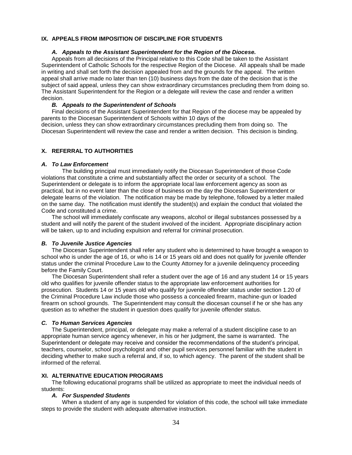## **IX. APPEALS FROM IMPOSITION OF DISCIPLINE FOR STUDENTS**

#### *A. Appeals to the Assistant Superintendent for the Region of the Diocese.*

Appeals from all decisions of the Principal relative to this Code shall be taken to the Assistant Superintendent of Catholic Schools for the respective Region of the Diocese. All appeals shall be made in writing and shall set forth the decision appealed from and the grounds for the appeal. The written appeal shall arrive made no later than ten (10) business days from the date of the decision that is the subject of said appeal, unless they can show extraordinary circumstances precluding them from doing so. The Assistant Superintendent for the Region or a delegate will review the case and render a written decision.

#### *B. Appeals to the Superintendent of Schools*

Final decisions of the Assistant Superintendent for that Region of the diocese may be appealed by parents to the Diocesan Superintendent of Schools within 10 days of the decision, unless they can show extraordinary circumstances precluding them from doing so. The Diocesan Superintendent will review the case and render a written decision. This decision is binding.

#### **X. REFERRAL TO AUTHORITIES**

#### *A. To Law Enforcement*

The building principal must immediately notify the Diocesan Superintendent of those Code violations that constitute a crime and substantially affect the order or security of a school. The Superintendent or delegate is to inform the appropriate local law enforcement agency as soon as practical, but in no event later than the close of business on the day the Diocesan Superintendent or delegate learns of the violation. The notification may be made by telephone, followed by a letter mailed on the same day. The notification must identify the student(s) and explain the conduct that violated the Code and constituted a crime.

The school will immediately confiscate any weapons, alcohol or illegal substances possessed by a student and will notify the parent of the student involved of the incident. Appropriate disciplinary action will be taken, up to and including expulsion and referral for criminal prosecution.

#### *B. To Juvenile Justice Agencies*

The Diocesan Superintendent shall refer any student who is determined to have brought a weapon to school who is under the age of 16, or who is 14 or 15 years old and does not qualify for juvenile offender status under the criminal Procedure Law to the County Attorney for a juvenile delinquency proceeding before the Family Court.

The Diocesan Superintendent shall refer a student over the age of 16 and any student 14 or 15 years old who qualifies for juvenile offender status to the appropriate law enforcement authorities for prosecution. Students 14 or 15 years old who qualify for juvenile offender status under section 1.20 of the Criminal Procedure Law include those who possess a concealed firearm, machine-gun or loaded firearm on school grounds. The Superintendent may consult the diocesan counsel if he or she has any question as to whether the student in question does qualify for juvenile offender status.

#### *C. To Human Services Agencies*

The Superintendent, principal, or delegate may make a referral of a student discipline case to an appropriate human service agency whenever, in his or her judgment, the same is warranted. The Superintendent or delegate may receive and consider the recommendations of the student's principal, teachers, counselor, school psychologist and other pupil services personnel familiar with the student in deciding whether to make such a referral and, if so, to which agency. The parent of the student shall be informed of the referral.

## **XI. ALTERNATIVE EDUCATION PROGRAMS**

The following educational programs shall be utilized as appropriate to meet the individual needs of students:

#### *A. For Suspended Students*

When a student of any age is suspended for violation of this code, the school will take immediate steps to provide the student with adequate alternative instruction.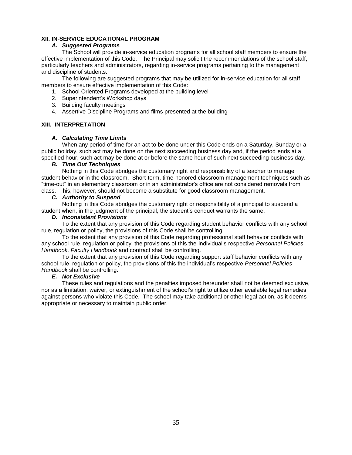## **XII. IN-SERVICE EDUCATIONAL PROGRAM**

## *A. Suggested Programs*

The School will provide in-service education programs for all school staff members to ensure the effective implementation of this Code. The Principal may solicit the recommendations of the school staff, particularly teachers and administrators, regarding in-service programs pertaining to the management and discipline of students.

The following are suggested programs that may be utilized for in-service education for all staff members to ensure effective implementation of this Code:

1. School Oriented Programs developed at the building level

- 2. Superintendent's Workshop days
- 3. Building faculty meetings
- 4. Assertive Discipline Programs and films presented at the building

## **XIII. INTERPRETATION**

## *A. Calculating Time Limits*

When any period of time for an act to be done under this Code ends on a Saturday, Sunday or a public holiday, such act may be done on the next succeeding business day and, if the period ends at a specified hour, such act may be done at or before the same hour of such next succeeding business day.

## *B. Time Out Techniques*

Nothing in this Code abridges the customary right and responsibility of a teacher to manage student behavior in the classroom. Short-term, time-honored classroom management techniques such as "time-out" in an elementary classroom or in an administrator's office are not considered removals from class. This, however, should not become a substitute for good classroom management.

## *C. Authority to Suspend*

Nothing in this Code abridges the customary right or responsibility of a principal to suspend a student when, in the judgment of the principal, the student's conduct warrants the same.

## *D. Inconsistent Provisions*

To the extent that any provision of this Code regarding student behavior conflicts with any school rule, regulation or policy, the provisions of this Code shall be controlling.

To the extent that any provision of this Code regarding professional staff behavior conflicts with any school rule, regulation or policy, the provisions of this the individual's respective *Personnel Policies Handbook, Faculty Handbook* and contract shall be controlling.

To the extent that any provision of this Code regarding support staff behavior conflicts with any school rule, regulation or policy, the provisions of this the individual's respective *Personnel Policies Handbook* shall be controlling.

## *E. Not Exclusive*

These rules and regulations and the penalties imposed hereunder shall not be deemed exclusive, nor as a limitation, waiver, or extinguishment of the school's right to utilize other available legal remedies against persons who violate this Code. The school may take additional or other legal action, as it deems appropriate or necessary to maintain public order.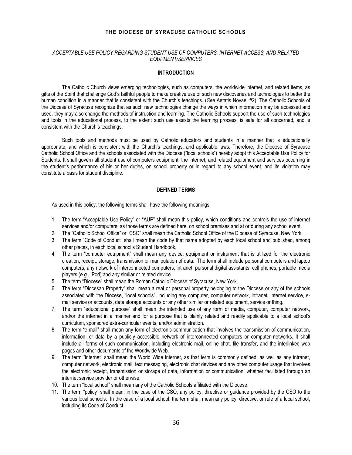## **THE DIOCESE OF SYRACUSE CATHOLIC SCHOOLS**

## *ACCEPTABLE USE POLICY REGARDING STUDENT USE OF COMPUTERS, INTERNET ACCESS, AND RELATED EQUPMENT/SERVICES*

## **INTRODUCTION**

The Catholic Church views emerging technologies, such as computers, the worldwide internet, and related items, as gifts of the Spirit that challenge God's faithful people to make creative use of such new discoveries and technologies to better the human condition in a manner that is consistent with the Church's teachings. (*See* Aetatis Novae, #2). The Catholic Schools of the Diocese of Syracuse recognize that as such new technologies change the ways in which information may be accessed and used, they may also change the methods of instruction and learning. The Catholic Schools support the use of such technologies and tools in the educational process, to the extent such use assists the learning process, is safe for all concerned, and is consistent with the Church's teachings.

Such tools and methods must be used by Catholic educators and students in a manner that is educationally appropriate, and which is consistent with the Church's teachings, and applicable laws. Therefore, the Diocese of Syracuse Catholic School Office and the schools associated with the Diocese ("local schools") hereby adopt this Acceptable Use Policy for Students. It shall govern all student use of computers equipment, the internet, and related equipment and services occurring in the student's performance of his or her duties, on school property or in regard to any school event, and its violation may constitute a basis for student discipline.

## **DEFINED TERMS**

As used in this policy, the following terms shall have the following meanings.

- 1. The term "Acceptable Use Policy" or "AUP" shall mean this policy, which conditions and controls the use of internet services and/or computers, as those terms are defined here, on school premises and at or during any school event.
- 2. The "Catholic School Office" or "CSO" shall mean the Catholic School Office of the Diocese of Syracuse, New York.
- 3. The term "Code of Conduct" shall mean the code by that name adopted by each local school and published, among other places, in each local school's Student Handbook.
- 4. The term "computer equipment" shall mean any device, equipment or instrument that is utilized for the electronic creation, receipt, storage, transmission or manipulation of data. The term shall include personal computers and laptop computers, any network of interconnected computers, intranet, personal digital assistants, cell phones, portable media players (*e.g.*, iPod) and any similar or related device.
- 5. The term "Diocese" shall mean the Roman Catholic Diocese of Syracuse, New York.
- 6. The term "Diocesan Property" shall mean a real or personal property belonging to the Diocese or any of the schools associated with the Diocese, "local schools", including any computer, computer network, intranet, internet service, email service or accounts, data storage accounts or any other similar or related equipment, service or thing.
- 7. The term "educational purpose" shall mean the intended use of any form of media, computer, computer network, and/or the internet in a manner and for a purpose that is plainly related and readily applicable to a local school's curriculum, sponsored extra-curricular events, and/or administration.
- 8. The term "e-mail" shall mean any form of electronic communication that involves the transmission of communication, information, or data by a publicly accessible network of interconnected computers or computer networks. It shall include all forms of such communication, including electronic mail, online chat, file transfer, and the interlinked web pages and other documents of the Worldwide Web.
- 9. The term "internet" shall mean the World Wide internet, as that term is commonly defined, as well as any intranet, computer network, electronic mail, text messaging, electronic chat devices and any other computer usage that involves the electronic receipt, transmission or storage of data, information or communication, whether facilitated through an internet service provider or otherwise.
- 10. The term "local school" shall mean any of the Catholic Schools affiliated with the Diocese.
- 11. The term "policy" shall mean, in the case of the CSO, any policy, directive or guidance provided by the CSO to the various local schools. In the case of a local school, the term shall mean any policy, directive, or rule of a local school, including its Code of Conduct.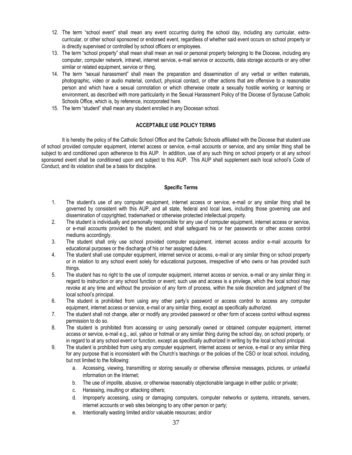- 12. The term "school event" shall mean any event occurring during the school day, including any curricular, extracurricular, or other school sponsored or endorsed event, regardless of whether said event occurs on school property or is directly supervised or controlled by school officers or employees.
- 13. The term "school property" shall mean shall mean an real or personal property belonging to the Diocese, including any computer, computer network, intranet, internet service, e-mail service or accounts, data storage accounts or any other similar or related equipment, service or thing.
- 14. The term "sexual harassment" shall mean the preparation and dissemination of any verbal or written materials, photographic, video or audio material, conduct, physical contact, or other actions that are offensive to a reasonable person and which have a sexual connotation or which otherwise create a sexually hostile working or learning or environment, as described with more particularity in the Sexual Harassment Policy of the Diocese of Syracuse Catholic Schools Office, which is, by reference, incorporated here.
- 15. The term "student" shall mean any student enrolled in any Diocesan school.

## **ACCEPTABLE USE POLICY TERMS**

It is hereby the policy of the Catholic School Office and the Catholic Schools affiliated with the Diocese that student use of school provided computer equipment, internet access or service, e-mail accounts or service, and any similar thing shall be subject to and conditioned upon adherence to this AUP. In addition, use of any such thing on school property or at any school sponsored event shall be conditioned upon and subject to this AUP. This AUP shall supplement each local school's Code of Conduct, and its violation shall be a basis for discipline.

## **Specific Terms**

- 1. The student's use of any computer equipment, internet access or service, e-mail or any similar thing shall be governed by consistent with this AUP, and all state, federal and local laws, including those governing use and dissemination of copyrighted, trademarked or otherwise protected intellectual property.
- 2. The student is individually and personally responsible for any use of computer equipment, internet access or service, or e-mail accounts provided to the student, and shall safeguard his or her passwords or other access control mediums accordingly.
- 3. The student shall only use school provided computer equipment, internet access and/or e-mail accounts for educational purposes or the discharge of his or her assigned duties.
- 4. The student shall use computer equipment, internet service or access, e-mail or any similar thing on school property or in relation to any school event solely for educational purposes, irrespective of who owns or has provided such things.
- 5. The student has no right to the use of computer equipment, internet access or service, e-mail or any similar thing in regard to instruction or any school function or event; such use and access is a privilege, which the local school may revoke at any time and without the provision of any form of process, within the sole discretion and judgment of the local school's principal.
- 6. The student is prohibited from using any other party's password or access control to access any computer equipment, internet access or service, e-mail or any similar thing, except as specifically authorized.
- 7. The student shall not change, alter or modify any provided password or other form of access control without express permission to do so.
- 8. The student is prohibited from accessing or using personally owned or obtained computer equipment, internet access or service, e-mail e.g., aol, yahoo or hotmail or any similar thing during the school day, on school property, or in regard to at any school event or function, except as specifically authorized in writing by the local school principal.
- 9. The student is prohibited from using any computer equipment, internet access or service, e-mail or any similar thing for any purpose that is inconsistent with the Church's teachings or the policies of the CSO or local school, including, but not limited to the following:
	- a. Accessing, viewing, transmitting or storing sexually or otherwise offensive messages, pictures, or unlawful information on the Internet;
	- b. The use of impolite, abusive, or otherwise reasonably objectionable language in either public or private;
	- c. Harassing, insulting or attacking others;
	- d. Improperly accessing, using or damaging computers, computer networks or systems, intranets, servers, internet accounts or web sites belonging to any other person or party;
	- e. Intentionally wasting limited and/or valuable resources; and/or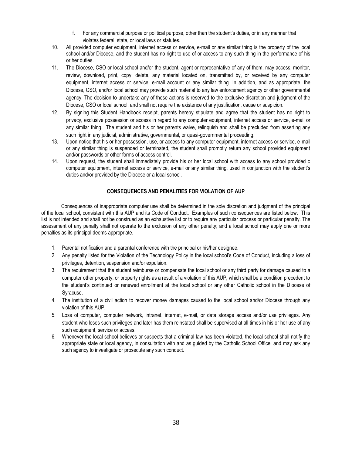- f. For any commercial purpose or political purpose, other than the student's duties, or in any manner that violates federal, state, or local laws or statutes.
- 10. All provided computer equipment, internet access or service, e-mail or any similar thing is the property of the local school and/or Diocese, and the student has no right to use of or access to any such thing in the performance of his or her duties.
- 11. The Diocese, CSO or local school and/or the student, agent or representative of any of them, may access, monitor, review, download, print, copy, delete, any material located on, transmitted by, or received by any computer equipment, internet access or service, e-mail account or any similar thing. In addition, and as appropriate, the Diocese, CSO, and/or local school may provide such material to any law enforcement agency or other governmental agency. The decision to undertake any of these actions is reserved to the exclusive discretion and judgment of the Diocese, CSO or local school, and shall not require the existence of any justification, cause or suspicion.
- 12. By signing this Student Handbook receipt, parents hereby stipulate and agree that the student has no right to privacy, exclusive possession or access in regard to any computer equipment, internet access or service, e-mail or any similar thing. The student and his or her parents waive, relinquish and shall be precluded from asserting any such right in any judicial, administrative, governmental, or quasi-governmental proceeding.
- 13. Upon notice that his or her possession, use, or access to any computer equipment, internet access or service, e-mail or any similar thing is suspended or terminated, the student shall promptly return any school provided equipment and/or passwords or other forms of access control.
- 14. Upon request, the student shall immediately provide his or her local school with access to any school provided c computer equipment, internet access or service, e-mail or any similar thing, used in conjunction with the student's duties and/or provided by the Diocese or a local school.

## **CONSEQUENCES AND PENALITIES FOR VIOLATION OF AUP**

Consequences of inappropriate computer use shall be determined in the sole discretion and judgment of the principal of the local school, consistent with this AUP and its Code of Conduct. Examples of such consequences are listed below. This list is not intended and shall not be construed as an exhaustive list or to require any particular process or particular penalty. The assessment of any penalty shall not operate to the exclusion of any other penalty; and a local school may apply one or more penalties as its principal deems appropriate.

- 1. Parental notification and a parental conference with the principal or his/her designee.
- 2. Any penalty listed for the Violation of the Technology Policy in the local school's Code of Conduct, including a loss of privileges, detention, suspension and/or expulsion.
- 3. The requirement that the student reimburse or compensate the local school or any third party for damage caused to a computer other property, or property rights as a result of a violation of this AUP, which shall be a condition precedent to the student's continued or renewed enrollment at the local school or any other Catholic school in the Diocese of Syracuse.
- 4. The institution of a civil action to recover money damages caused to the local school and/or Diocese through any violation of this AUP.
- 5. Loss of computer, computer network, intranet, internet, e-mail, or data storage access and/or use privileges. Any student who loses such privileges and later has them reinstated shall be supervised at all times in his or her use of any such equipment, service or access.
- 6. Whenever the local school believes or suspects that a criminal law has been violated, the local school shall notify the appropriate state or local agency, in consultation with and as guided by the Catholic School Office, and may ask any such agency to investigate or prosecute any such conduct.